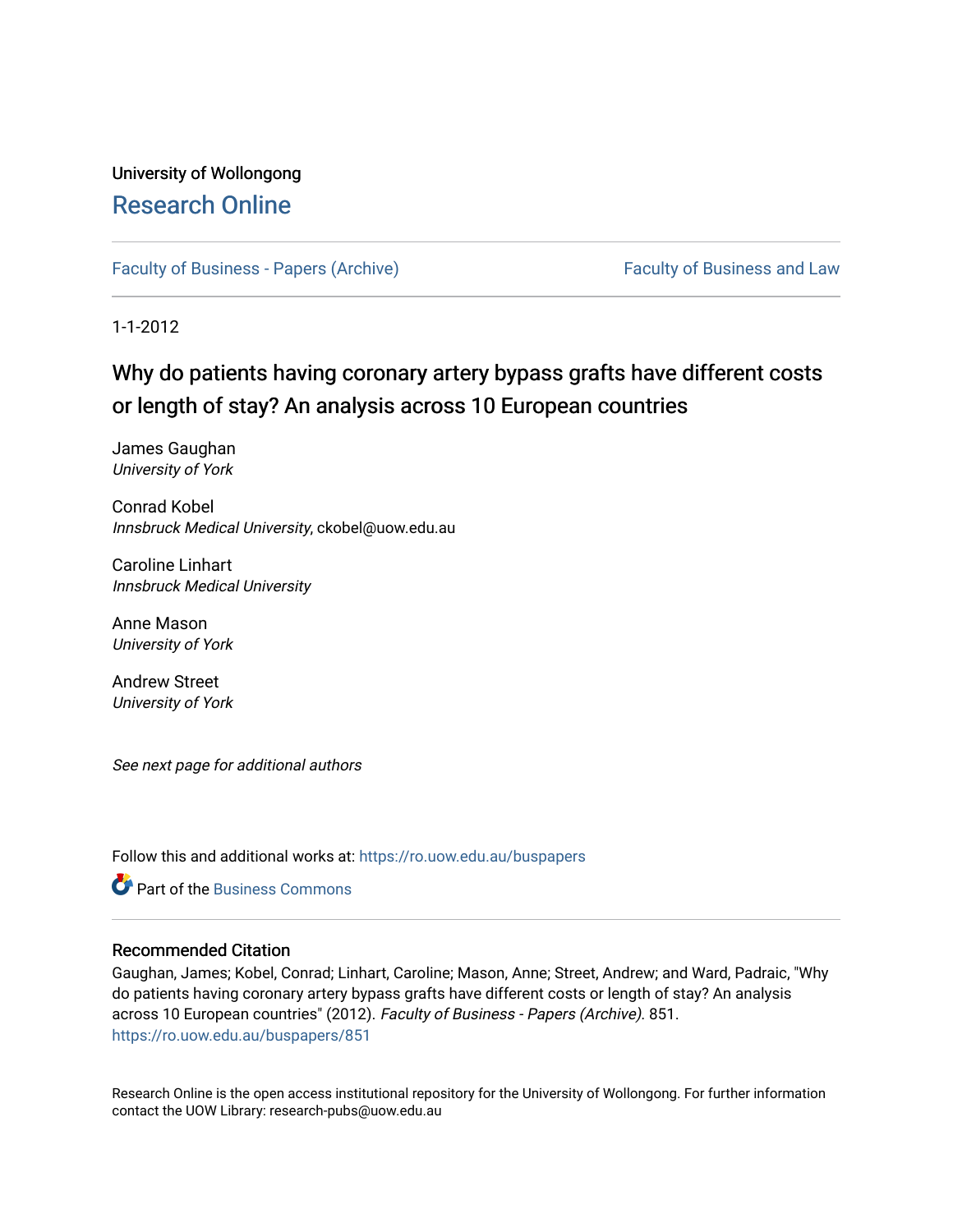# University of Wollongong [Research Online](https://ro.uow.edu.au/)

[Faculty of Business - Papers \(Archive\)](https://ro.uow.edu.au/buspapers) Faculty of Business and Law

1-1-2012

# Why do patients having coronary artery bypass grafts have different costs or length of stay? An analysis across 10 European countries

James Gaughan University of York

Conrad Kobel Innsbruck Medical University, ckobel@uow.edu.au

Caroline Linhart Innsbruck Medical University

Anne Mason University of York

Andrew Street University of York

See next page for additional authors

Follow this and additional works at: [https://ro.uow.edu.au/buspapers](https://ro.uow.edu.au/buspapers?utm_source=ro.uow.edu.au%2Fbuspapers%2F851&utm_medium=PDF&utm_campaign=PDFCoverPages) 



### Recommended Citation

Gaughan, James; Kobel, Conrad; Linhart, Caroline; Mason, Anne; Street, Andrew; and Ward, Padraic, "Why do patients having coronary artery bypass grafts have different costs or length of stay? An analysis across 10 European countries" (2012). Faculty of Business - Papers (Archive). 851. [https://ro.uow.edu.au/buspapers/851](https://ro.uow.edu.au/buspapers/851?utm_source=ro.uow.edu.au%2Fbuspapers%2F851&utm_medium=PDF&utm_campaign=PDFCoverPages) 

Research Online is the open access institutional repository for the University of Wollongong. For further information contact the UOW Library: research-pubs@uow.edu.au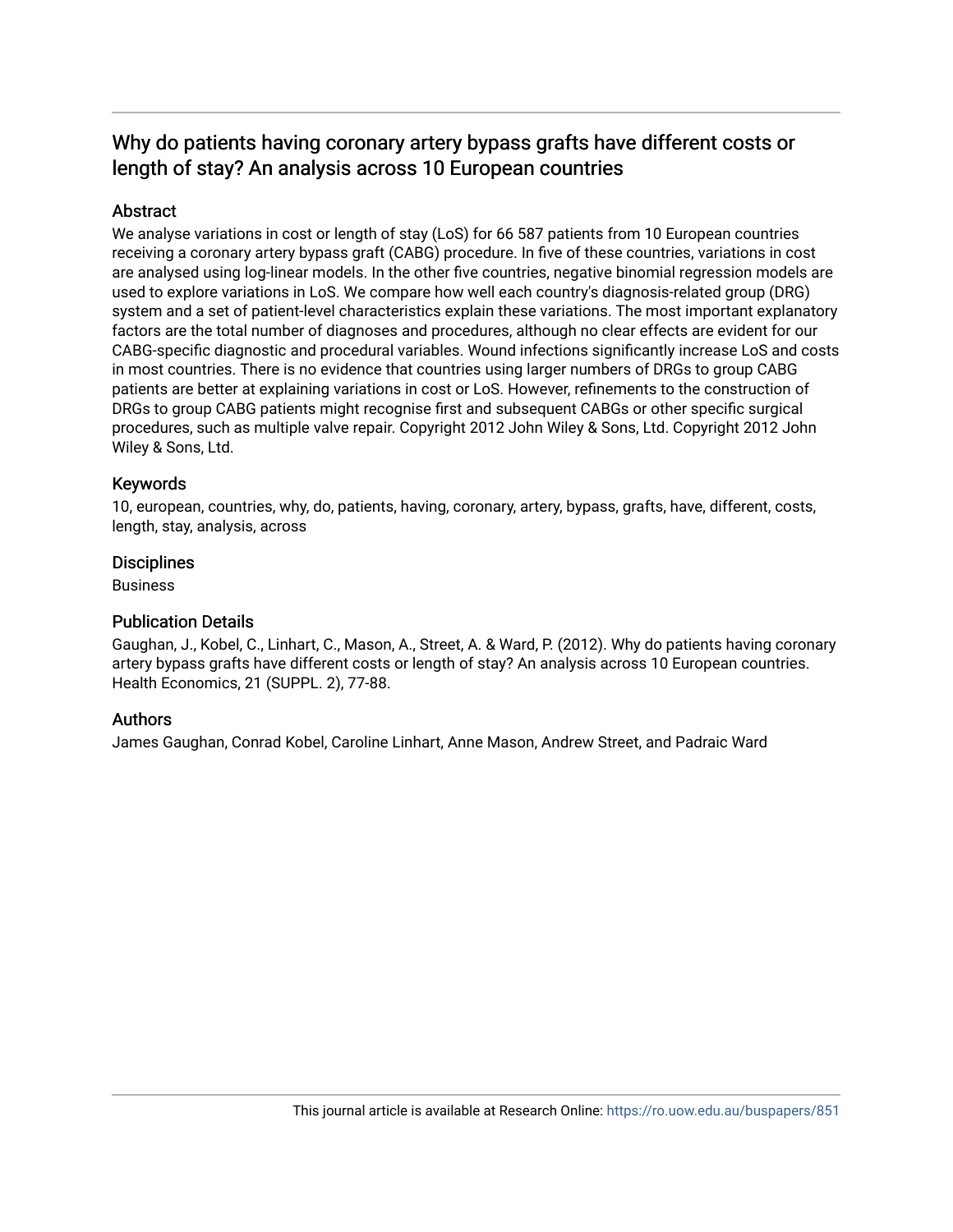# Why do patients having coronary artery bypass grafts have different costs or length of stay? An analysis across 10 European countries

### Abstract

We analyse variations in cost or length of stay (LoS) for 66 587 patients from 10 European countries receiving a coronary artery bypass graft (CABG) procedure. In five of these countries, variations in cost are analysed using log-linear models. In the other five countries, negative binomial regression models are used to explore variations in LoS. We compare how well each country's diagnosis-related group (DRG) system and a set of patient-level characteristics explain these variations. The most important explanatory factors are the total number of diagnoses and procedures, although no clear effects are evident for our CABG-specific diagnostic and procedural variables. Wound infections significantly increase LoS and costs in most countries. There is no evidence that countries using larger numbers of DRGs to group CABG patients are better at explaining variations in cost or LoS. However, refinements to the construction of DRGs to group CABG patients might recognise first and subsequent CABGs or other specific surgical procedures, such as multiple valve repair. Copyright 2012 John Wiley & Sons, Ltd. Copyright 2012 John Wiley & Sons, Ltd.

### Keywords

10, european, countries, why, do, patients, having, coronary, artery, bypass, grafts, have, different, costs, length, stay, analysis, across

### **Disciplines**

Business

### Publication Details

Gaughan, J., Kobel, C., Linhart, C., Mason, A., Street, A. & Ward, P. (2012). Why do patients having coronary artery bypass grafts have different costs or length of stay? An analysis across 10 European countries. Health Economics, 21 (SUPPL. 2), 77-88.

### Authors

James Gaughan, Conrad Kobel, Caroline Linhart, Anne Mason, Andrew Street, and Padraic Ward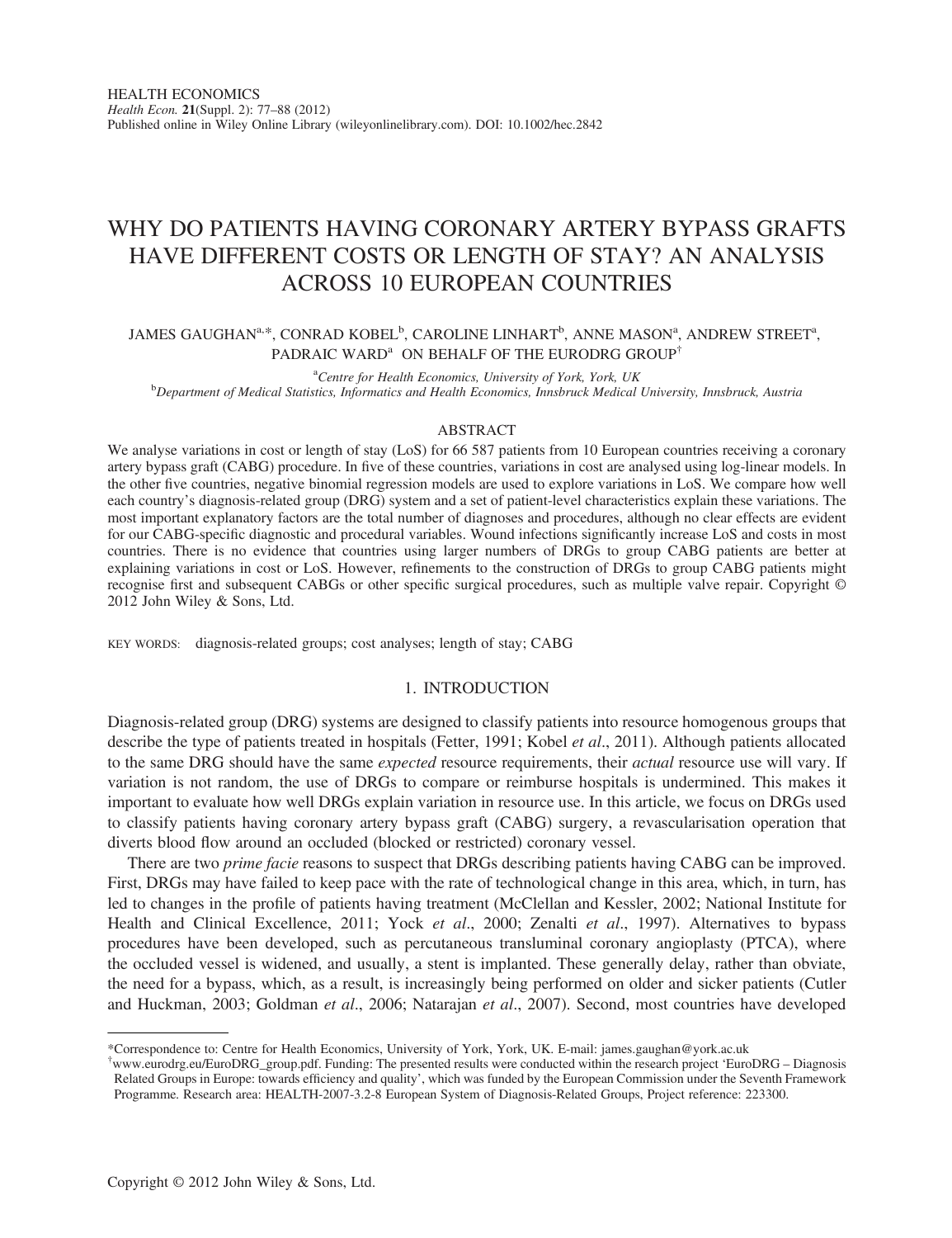## WHY DO PATIENTS HAVING CORONARY ARTERY BYPASS GRAFTS HAVE DIFFERENT COSTS OR LENGTH OF STAY? AN ANALYSIS ACROSS 10 EUROPEAN COUNTRIES

#### JAMES GAUGHAN $\rm{a}$ , CONRAD KOBEL $\rm{^b}$ , CAROLINE LINHART $\rm{^b}$ , ANNE MASON $\rm{^a}$ , ANDREW STREET $\rm{^a}$ , PADRAIC WARD<sup>a</sup> ON BEHALF OF THE EURODRG GROUP<sup> $\dagger$ </sup>

<sup>a</sup>Centre for Health Economics, University of York, York, UK <sup>a</sup>Centre for Health Economics, University of York, York, UK<br><sup>b</sup>Department of Medical Statistics, Informatics and Health Economics, Innsbruck Medical University, Innsbruck, Austria

#### ABSTRACT

We analyse variations in cost or length of stay (LoS) for 66 587 patients from 10 European countries receiving a coronary artery bypass graft (CABG) procedure. In five of these countries, variations in cost are analysed using log-linear models. In the other five countries, negative binomial regression models are used to explore variations in LoS. We compare how well each country's diagnosis-related group (DRG) system and a set of patient-level characteristics explain these variations. The most important explanatory factors are the total number of diagnoses and procedures, although no clear effects are evident for our CABG-specific diagnostic and procedural variables. Wound infections significantly increase LoS and costs in most countries. There is no evidence that countries using larger numbers of DRGs to group CABG patients are better at explaining variations in cost or LoS. However, refinements to the construction of DRGs to group CABG patients might recognise first and subsequent CABGs or other specific surgical procedures, such as multiple valve repair. Copyright © 2012 John Wiley & Sons, Ltd.

KEY WORDS: diagnosis-related groups; cost analyses; length of stay; CABG

#### 1. INTRODUCTION

Diagnosis-related group (DRG) systems are designed to classify patients into resource homogenous groups that describe the type of patients treated in hospitals (Fetter, 1991; Kobel et al., 2011). Although patients allocated to the same DRG should have the same *expected* resource requirements, their *actual* resource use will vary. If variation is not random, the use of DRGs to compare or reimburse hospitals is undermined. This makes it important to evaluate how well DRGs explain variation in resource use. In this article, we focus on DRGs used to classify patients having coronary artery bypass graft (CABG) surgery, a revascularisation operation that diverts blood flow around an occluded (blocked or restricted) coronary vessel.

There are two *prime facie* reasons to suspect that DRGs describing patients having CABG can be improved. First, DRGs may have failed to keep pace with the rate of technological change in this area, which, in turn, has led to changes in the profile of patients having treatment (McClellan and Kessler, 2002; National Institute for Health and Clinical Excellence, 2011; Yock *et al.*, 2000; Zenalti *et al.*, 1997). Alternatives to bypass procedures have been developed, such as percutaneous transluminal coronary angioplasty (PTCA), where the occluded vessel is widened, and usually, a stent is implanted. These generally delay, rather than obviate, the need for a bypass, which, as a result, is increasingly being performed on older and sicker patients (Cutler and Huckman, 2003; Goldman et al., 2006; Natarajan et al., 2007). Second, most countries have developed

<sup>\*</sup>Correspondence to: Centre for Health Economics, University of York, York, UK. E-mail: james.gaughan@york.ac.uk

<sup>†</sup> www.eurodrg.eu/EuroDRG\_group.pdf. Funding: The presented results were conducted within the research project 'EuroDRG – Diagnosis Related Groups in Europe: towards efficiency and quality', which was funded by the European Commission under the Seventh Framework Programme. Research area: HEALTH-2007-3.2-8 European System of Diagnosis-Related Groups, Project reference: 223300.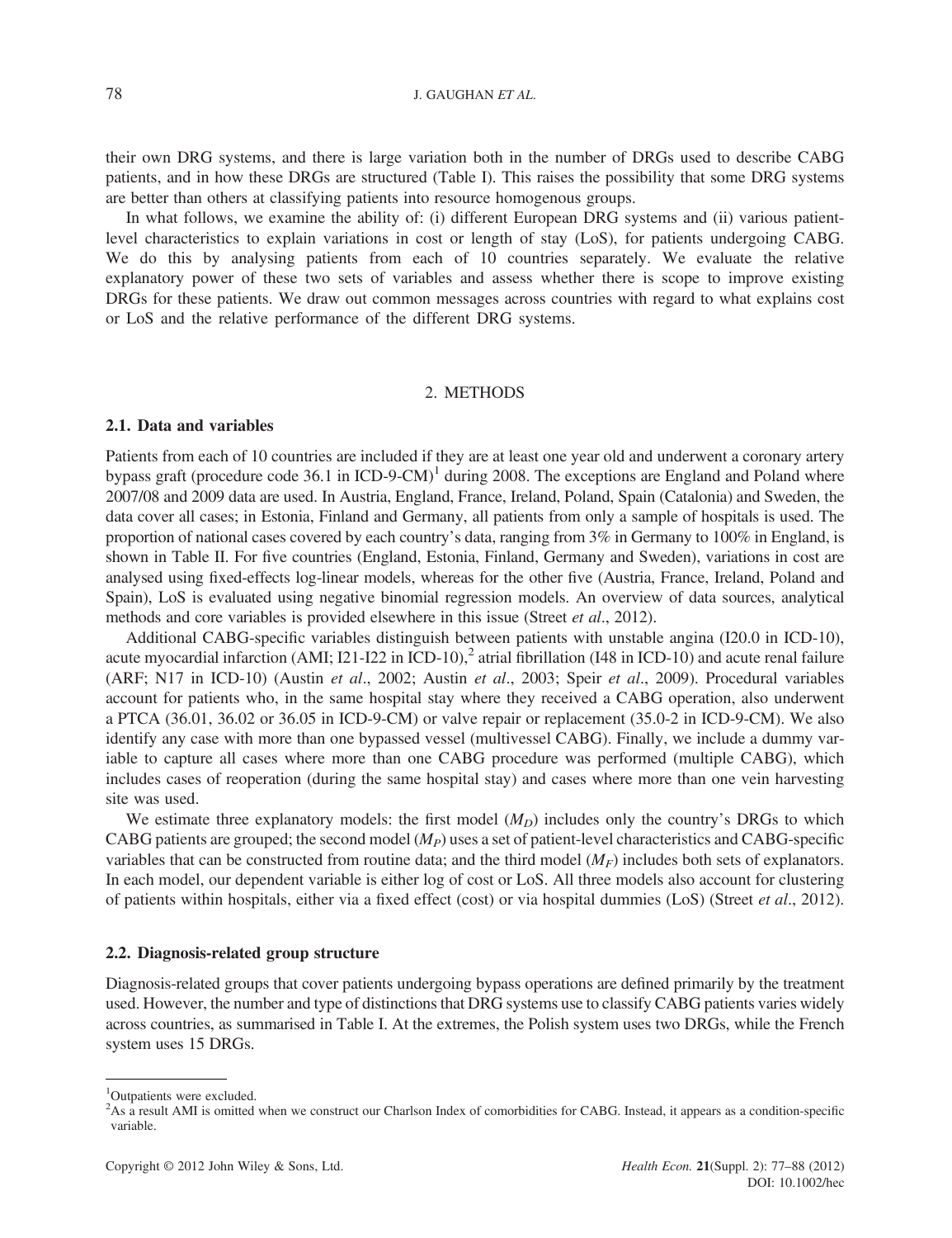their own DRG systems, and there is large variation both in the number of DRGs used to describe CABG patients, and in how these DRGs are structured (Table I). This raises the possibility that some DRG systems are better than others at classifying patients into resource homogenous groups.

In what follows, we examine the ability of: (i) different European DRG systems and (ii) various patientlevel characteristics to explain variations in cost or length of stay (LoS), for patients undergoing CABG. We do this by analysing patients from each of 10 countries separately. We evaluate the relative explanatory power of these two sets of variables and assess whether there is scope to improve existing DRGs for these patients. We draw out common messages across countries with regard to what explains cost or LoS and the relative performance of the different DRG systems.

#### 2. METHODS

#### 2.1. Data and variables

Patients from each of 10 countries are included if they are at least one year old and underwent a coronary artery bypass graft (procedure code  $36.1$  in ICD-9-CM)<sup>1</sup> during 2008. The exceptions are England and Poland where 2007/08 and 2009 data are used. In Austria, England, France, Ireland, Poland, Spain (Catalonia) and Sweden, the data cover all cases; in Estonia, Finland and Germany, all patients from only a sample of hospitals is used. The proportion of national cases covered by each country's data, ranging from 3% in Germany to 100% in England, is shown in Table II. For five countries (England, Estonia, Finland, Germany and Sweden), variations in cost are analysed using fixed-effects log-linear models, whereas for the other five (Austria, France, Ireland, Poland and Spain), LoS is evaluated using negative binomial regression models. An overview of data sources, analytical methods and core variables is provided elsewhere in this issue (Street et al., 2012).

Additional CABG-specific variables distinguish between patients with unstable angina (I20.0 in ICD-10), acute myocardial infarction (AMI; I21-I22 in ICD-10),<sup>2</sup> atrial fibrillation (I48 in ICD-10) and acute renal failure (ARF; N17 in ICD-10) (Austin et al., 2002; Austin et al., 2003; Speir et al., 2009). Procedural variables account for patients who, in the same hospital stay where they received a CABG operation, also underwent a PTCA (36.01, 36.02 or 36.05 in ICD-9-CM) or valve repair or replacement (35.0-2 in ICD-9-CM). We also identify any case with more than one bypassed vessel (multivessel CABG). Finally, we include a dummy variable to capture all cases where more than one CABG procedure was performed (multiple CABG), which includes cases of reoperation (during the same hospital stay) and cases where more than one vein harvesting site was used.

We estimate three explanatory models: the first model  $(M<sub>D</sub>)$  includes only the country's DRGs to which CABG patients are grouped; the second model  $(M_P)$  uses a set of patient-level characteristics and CABG-specific variables that can be constructed from routine data; and the third model  $(M_F)$  includes both sets of explanators. In each model, our dependent variable is either log of cost or LoS. All three models also account for clustering of patients within hospitals, either via a fixed effect (cost) or via hospital dummies (LoS) (Street et al., 2012).

#### 2.2. Diagnosis-related group structure

Diagnosis-related groups that cover patients undergoing bypass operations are defined primarily by the treatment used. However, the number and type of distinctions that DRG systems use to classify CABG patients varies widely across countries, as summarised in Table I. At the extremes, the Polish system uses two DRGs, while the French system uses 15 DRGs.

<sup>&</sup>lt;sup>1</sup>Outpatients were excluded.

<sup>&</sup>lt;sup>2</sup>As a result AMI is omitted when we construct our Charlson Index of comorbidities for CABG. Instead, it appears as a condition-specific variable.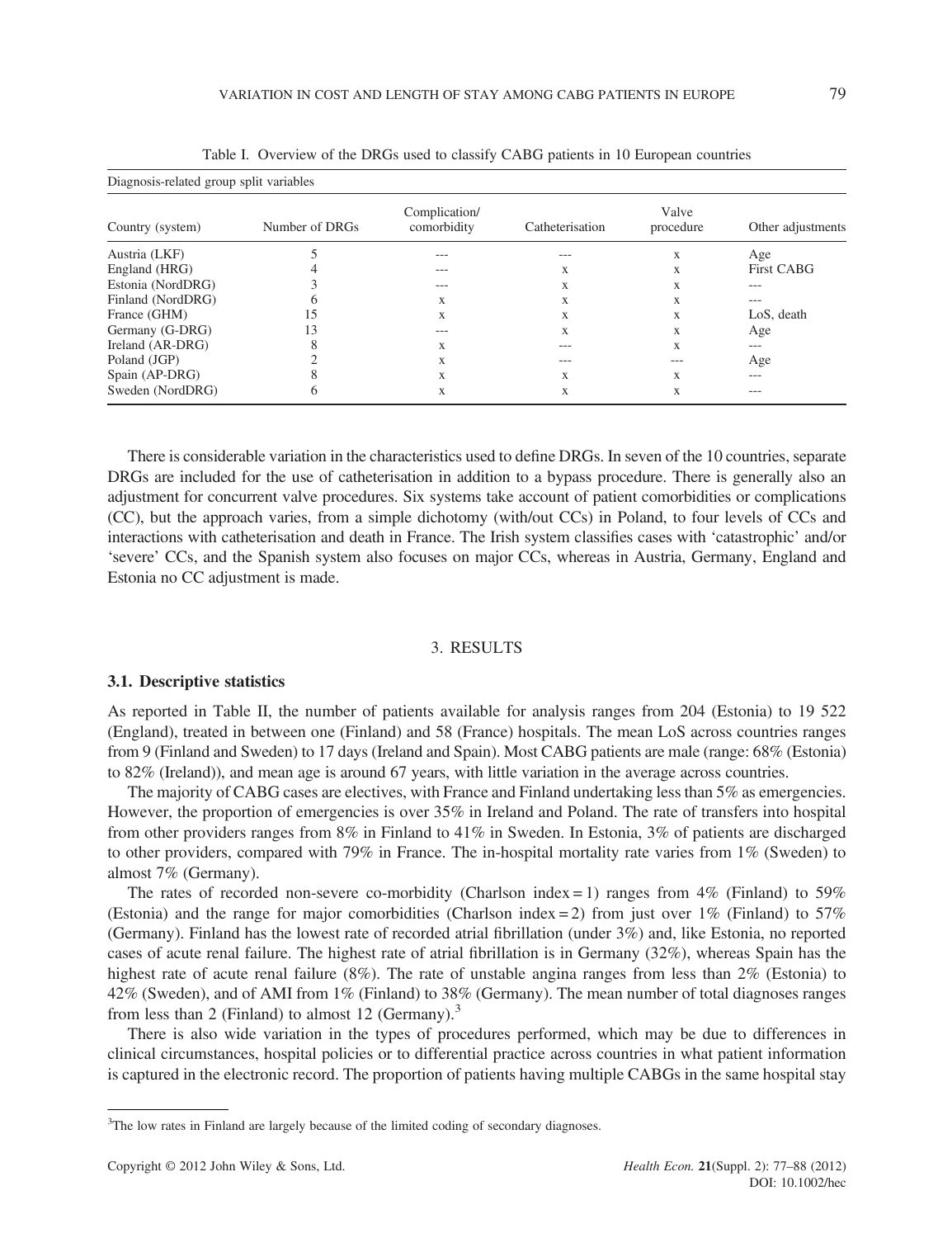| Diagnosis-related group split variables |                |                              |                 |                    |                   |
|-----------------------------------------|----------------|------------------------------|-----------------|--------------------|-------------------|
| Country (system)                        | Number of DRGs | Complication/<br>comorbidity | Catheterisation | Valve<br>procedure | Other adjustments |
| Austria (LKF)                           |                |                              | ---             | X                  | Age               |
| England (HRG)                           | 4              |                              | X               | X                  | <b>First CABG</b> |
| Estonia (NordDRG)                       |                |                              | X               | X                  | ---               |
| Finland (NordDRG)                       |                | X                            | X               | X                  |                   |
| France (GHM)                            | 15             | X                            | X               | X                  | LoS, death        |
| Germany (G-DRG)                         | 13             |                              | X               | X                  | Age               |
| Ireland (AR-DRG)                        |                | X                            | ---             | X                  | ---               |
| Poland (JGP)                            |                | X                            | ---             |                    | Age               |
| Spain (AP-DRG)                          |                | X                            | X               | X                  | ---               |
| Sweden (NordDRG)                        | n              | X                            | X               | X                  |                   |

Table I. Overview of the DRGs used to classify CABG patients in 10 European countries

There is considerable variation in the characteristics used to define DRGs. In seven of the 10 countries, separate DRGs are included for the use of catheterisation in addition to a bypass procedure. There is generally also an adjustment for concurrent valve procedures. Six systems take account of patient comorbidities or complications (CC), but the approach varies, from a simple dichotomy (with/out CCs) in Poland, to four levels of CCs and interactions with catheterisation and death in France. The Irish system classifies cases with 'catastrophic' and/or 'severe' CCs, and the Spanish system also focuses on major CCs, whereas in Austria, Germany, England and Estonia no CC adjustment is made.

#### 3. RESULTS

#### 3.1. Descriptive statistics

As reported in Table II, the number of patients available for analysis ranges from 204 (Estonia) to 19 522 (England), treated in between one (Finland) and 58 (France) hospitals. The mean LoS across countries ranges from 9 (Finland and Sweden) to 17 days (Ireland and Spain). Most CABG patients are male (range: 68% (Estonia) to 82% (Ireland)), and mean age is around 67 years, with little variation in the average across countries.

The majority of CABG cases are electives, with France and Finland undertaking less than 5% as emergencies. However, the proportion of emergencies is over 35% in Ireland and Poland. The rate of transfers into hospital from other providers ranges from 8% in Finland to 41% in Sweden. In Estonia, 3% of patients are discharged to other providers, compared with 79% in France. The in-hospital mortality rate varies from 1% (Sweden) to almost 7% (Germany).

The rates of recorded non-severe co-morbidity (Charlson index  $= 1$ ) ranges from 4% (Finland) to 59% (Estonia) and the range for major comorbidities (Charlson index = 2) from just over  $1\%$  (Finland) to  $57\%$ (Germany). Finland has the lowest rate of recorded atrial fibrillation (under 3%) and, like Estonia, no reported cases of acute renal failure. The highest rate of atrial fibrillation is in Germany (32%), whereas Spain has the highest rate of acute renal failure (8%). The rate of unstable angina ranges from less than 2% (Estonia) to 42% (Sweden), and of AMI from 1% (Finland) to 38% (Germany). The mean number of total diagnoses ranges from less than 2 (Finland) to almost 12 (Germany).<sup>3</sup>

There is also wide variation in the types of procedures performed, which may be due to differences in clinical circumstances, hospital policies or to differential practice across countries in what patient information is captured in the electronic record. The proportion of patients having multiple CABGs in the same hospital stay

<sup>&</sup>lt;sup>3</sup>The low rates in Finland are largely because of the limited coding of secondary diagnoses.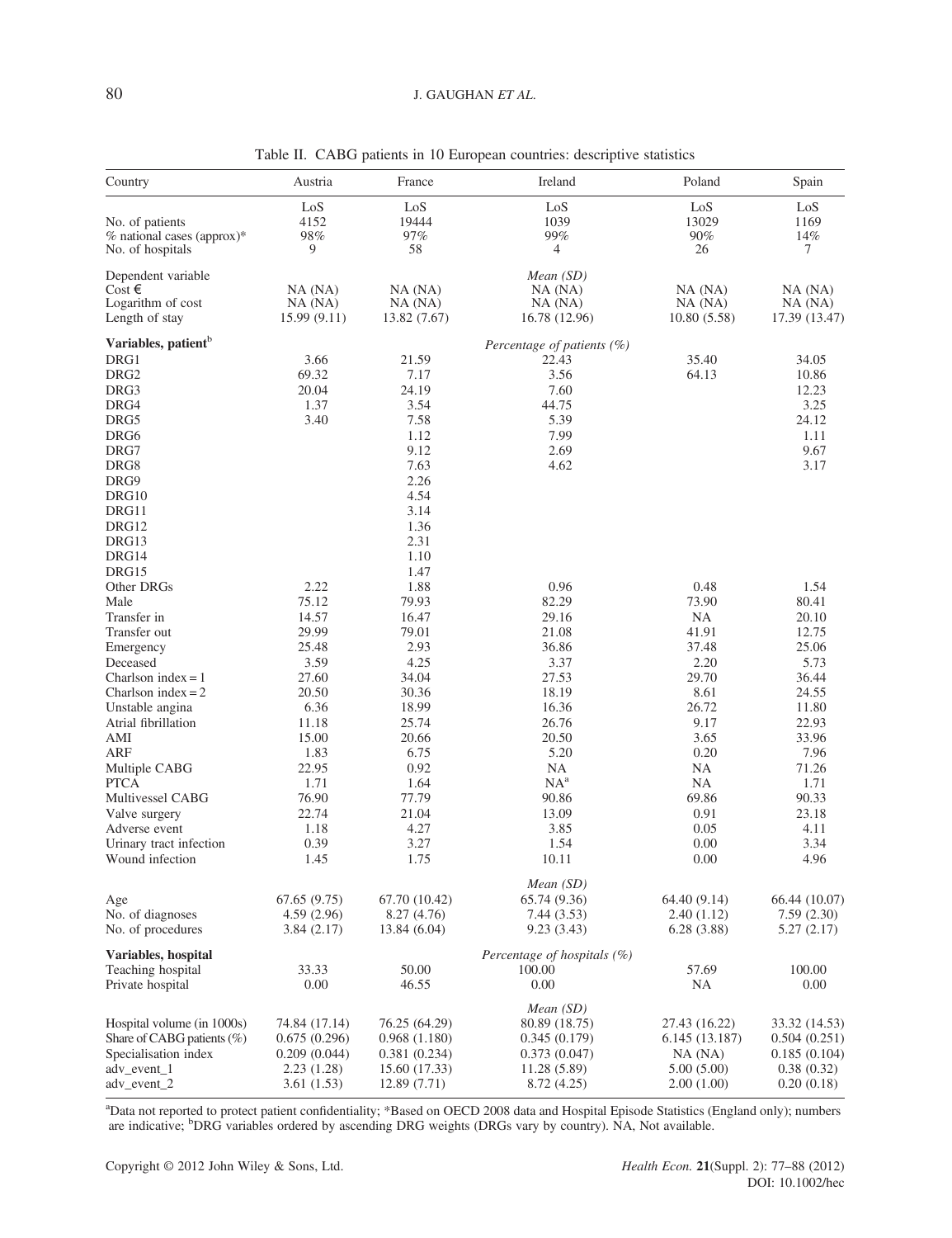| Country                         | Austria       | France        | Ireland                     | Poland         | Spain         |
|---------------------------------|---------------|---------------|-----------------------------|----------------|---------------|
|                                 | LoS           | LoS           | LoS                         | LoS            | LoS           |
| No. of patients                 | 4152          | 19444         | 1039                        | 13029          | 1169          |
| $%$ national cases (approx)*    | 98%           | 97%           | 99%                         | 90%            | 14%           |
| No. of hospitals                | 9             | 58            | 4                           | 26             | 7             |
| Dependent variable              |               |               | Mean $(SD)$                 |                |               |
| Cost €                          | $NA$ (NA)     | NA (NA)       | NA (NA)                     | NA (NA)        | $NA$ ( $NA$ ) |
| Logarithm of cost               | NA (NA)       | $NA$ (NA)     | NA (NA)                     | NA (NA)        | $NA$ (NA)     |
| Length of stay                  | 15.99(9.11)   | 13.82 (7.67)  | 16.78 (12.96)               | 10.80(5.58)    | 17.39 (13.47) |
| Variables, patient <sup>b</sup> |               |               | Percentage of patients (%)  |                |               |
| DRG1                            | 3.66          | 21.59         | 22.43                       | 35.40          | 34.05         |
| DRG <sub>2</sub>                | 69.32         | 7.17          | 3.56                        | 64.13          | 10.86         |
| DRG3                            | 20.04         | 24.19         | 7.60                        |                | 12.23         |
| DRG4                            | 1.37          | 3.54          | 44.75                       |                | 3.25          |
| DRG5                            | 3.40          | 7.58          | 5.39                        |                | 24.12         |
| DRG <sub>6</sub>                |               | 1.12          | 7.99                        |                | 1.11          |
| DRG7                            |               | 9.12          | 2.69                        |                | 9.67          |
| DRG8                            |               | 7.63          | 4.62                        |                | 3.17          |
| DRG9                            |               | 2.26          |                             |                |               |
|                                 |               | 4.54          |                             |                |               |
| DRG10                           |               |               |                             |                |               |
| DRG11                           |               | 3.14          |                             |                |               |
| DRG12                           |               | 1.36          |                             |                |               |
| DRG13                           |               | 2.31          |                             |                |               |
| DRG14                           |               | 1.10          |                             |                |               |
| DRG15                           |               | 1.47          |                             |                |               |
| Other DRGs                      | 2.22          | 1.88          | 0.96                        | 0.48           | 1.54          |
| Male                            | 75.12         | 79.93         | 82.29                       | 73.90          | 80.41         |
| Transfer in                     | 14.57         | 16.47         | 29.16                       | NA             | 20.10         |
| Transfer out                    | 29.99         | 79.01         | 21.08                       | 41.91          | 12.75         |
| Emergency                       | 25.48         | 2.93          | 36.86                       | 37.48          | 25.06         |
| Deceased                        | 3.59          | 4.25          | 3.37                        | 2.20           | 5.73          |
| Charlson index $= 1$            | 27.60         | 34.04         | 27.53                       | 29.70          | 36.44         |
| Charlson index $= 2$            | 20.50         | 30.36         | 18.19                       | 8.61           | 24.55         |
| Unstable angina                 | 6.36          | 18.99         | 16.36                       | 26.72          | 11.80         |
| Atrial fibrillation             | 11.18         | 25.74         | 26.76                       | 9.17           | 22.93         |
| AMI                             | 15.00         | 20.66         | 20.50                       | 3.65           | 33.96         |
| ARF                             | 1.83          | 6.75          | 5.20                        | 0.20           | 7.96          |
| Multiple CABG                   | 22.95         | 0.92          | NA                          | NA             | 71.26         |
| <b>PTCA</b>                     | 1.71          | 1.64          | NA <sup>a</sup>             | NA             | 1.71          |
| Multivessel CABG                | 76.90         | 77.79         | 90.86                       | 69.86          | 90.33         |
|                                 | 22.74         | 21.04         | 13.09                       | 0.91           | 23.18         |
| Valve surgery                   |               |               |                             |                |               |
| Adverse event                   | 1.18          | 4.27          | 3.85                        | 0.05           | 4.11          |
| Urinary tract infection         | 0.39          | 3.27          | 1.54                        | 0.00           | 3.34          |
| Wound infection                 | 1.45          | 1.75          | 10.11                       | 0.00           | 4.96          |
|                                 |               |               | Mean (SD)                   |                |               |
| Age                             | 67.65(9.75)   | 67.70 (10.42) | 65.74 (9.36)                | 64.40 (9.14)   | 66.44 (10.07) |
| No. of diagnoses                | 4.59(2.96)    | 8.27 (4.76)   | 7.44 (3.53)                 | 2.40 (1.12)    | 7.59 (2.30)   |
| No. of procedures               | 3.84(2.17)    | 13.84 (6.04)  | 9.23(3.43)                  | 6.28(3.88)     | 5.27(2.17)    |
| Variables, hospital             |               |               | Percentage of hospitals (%) |                |               |
| Teaching hospital               | 33.33         | 50.00         | 100.00                      | 57.69          | 100.00        |
| Private hospital                | $0.00\,$      | 46.55         | 0.00                        | NA             | 0.00          |
|                                 |               |               | Mean (SD)                   |                |               |
| Hospital volume (in 1000s)      | 74.84 (17.14) | 76.25 (64.29) | 80.89 (18.75)               | 27.43 (16.22)  | 33.32 (14.53) |
| Share of CABG patients $(\%)$   | 0.675(0.296)  | 0.968(1.180)  | 0.345(0.179)                | 6.145 (13.187) | 0.504(0.251)  |
| Specialisation index            | 0.209(0.044)  | 0.381(0.234)  | 0.373(0.047)                | $NA$ (NA)      | 0.185(0.104)  |
| adv_event_1                     | 2.23(1.28)    | 15.60 (17.33) | 11.28 (5.89)                | 5.00(5.00)     | 0.38(0.32)    |
| adv_event_2                     | 3.61(1.53)    | 12.89 (7.71)  | 8.72 (4.25)                 | 2.00(1.00)     | 0.20(0.18)    |

Table II. CABG patients in 10 European countries: descriptive statistics

a Data not reported to protect patient confidentiality; \*Based on OECD 2008 data and Hospital Episode Statistics (England only); numbers are indicative; <sup>b</sup>DRG variables ordered by ascending DRG weights (DRGs vary by country). NA, Not available.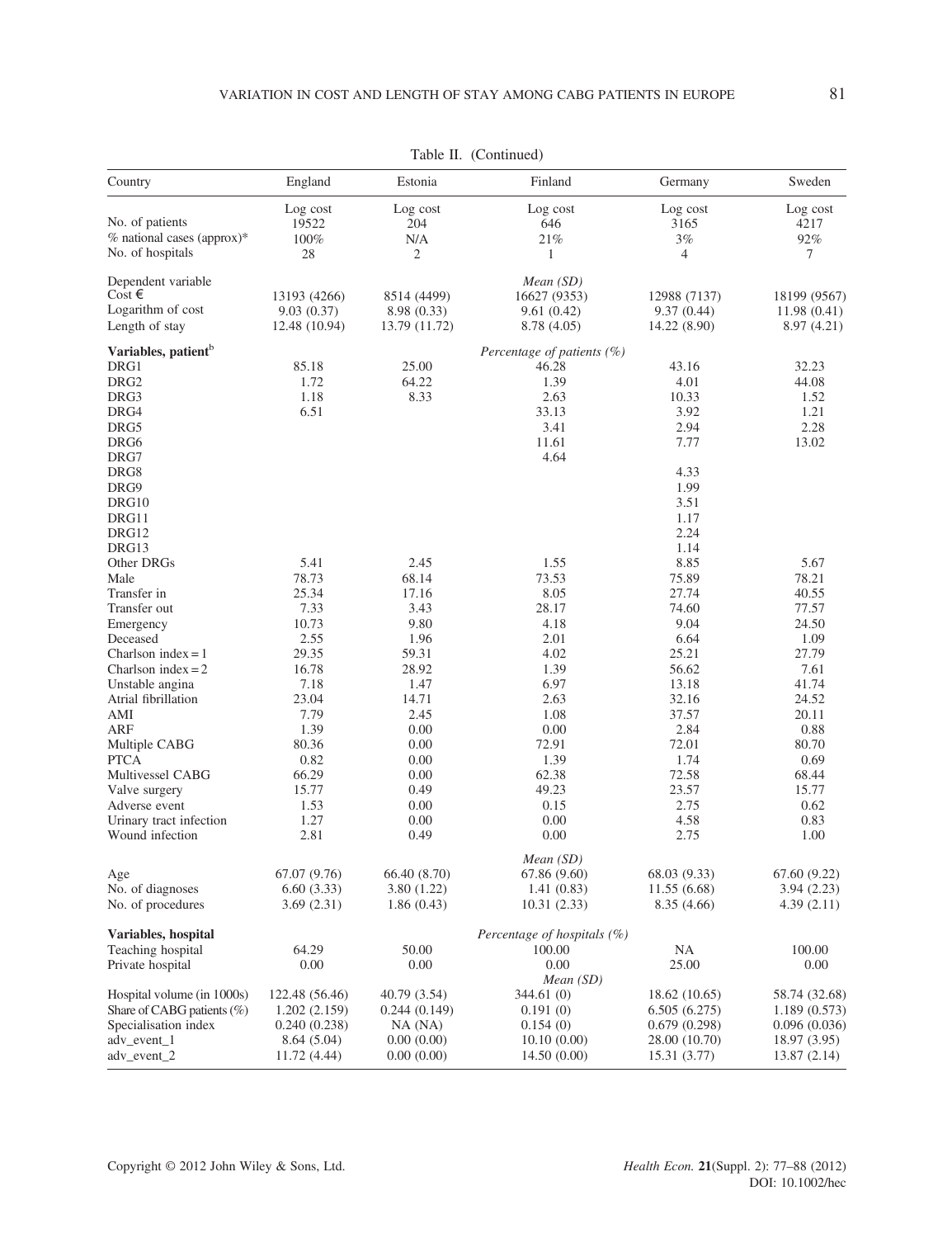| Country                         | England        | Estonia       | Finland                     | Germany        | Sweden        |
|---------------------------------|----------------|---------------|-----------------------------|----------------|---------------|
|                                 | Log cost       | Log cost      | Log cost                    | Log cost       | Log cost      |
| No. of patients                 | 19522          | 204           | 646                         | 3165           | 4217          |
| $%$ national cases (approx)*    | 100%           | N/A           | 21%                         | 3%             | 92%           |
| No. of hospitals                | 28             | 2             | 1                           | $\overline{4}$ | 7             |
| Dependent variable              |                |               | Mean(SD)                    |                |               |
| Cost €                          | 13193 (4266)   | 8514 (4499)   | 16627 (9353)                | 12988 (7137)   | 18199 (9567)  |
| Logarithm of cost               | 9.03(0.37)     | 8.98 (0.33)   | 9.61(0.42)                  | 9.37(0.44)     | 11.98(0.41)   |
| Length of stay                  | 12.48 (10.94)  | 13.79 (11.72) | 8.78 (4.05)                 | 14.22 (8.90)   | 8.97(4.21)    |
| Variables, patient <sup>b</sup> |                |               | Percentage of patients (%)  |                |               |
| DRG1                            | 85.18          | 25.00         | 46.28                       | 43.16          | 32.23         |
| DRG <sub>2</sub>                | 1.72           | 64.22         | 1.39                        | 4.01           | 44.08         |
| DRG3                            | 1.18           | 8.33          | 2.63                        | 10.33          | 1.52          |
| DRG4                            | 6.51           |               | 33.13                       | 3.92           | 1.21          |
| DRG5                            |                |               | 3.41                        | 2.94           | 2.28          |
| DRG6                            |                |               | 11.61                       | 7.77           | 13.02         |
| DRG7                            |                |               | 4.64                        |                |               |
| DRG8                            |                |               |                             | 4.33           |               |
| DRG9                            |                |               |                             | 1.99           |               |
| DRG10                           |                |               |                             | 3.51           |               |
| DRG11                           |                |               |                             | 1.17           |               |
| DRG12                           |                |               |                             | 2.24           |               |
| DRG13                           |                |               |                             | 1.14           |               |
| Other DRGs                      | 5.41           | 2.45          | 1.55                        | 8.85           | 5.67          |
| Male                            | 78.73          | 68.14         | 73.53                       | 75.89          | 78.21         |
| Transfer in                     | 25.34          | 17.16         | 8.05                        | 27.74          | 40.55         |
|                                 | 7.33           | 3.43          | 28.17                       | 74.60          |               |
| Transfer out                    |                |               |                             |                | 77.57         |
| Emergency                       | 10.73          | 9.80          | 4.18                        | 9.04           | 24.50         |
| Deceased                        | 2.55           | 1.96          | 2.01                        | 6.64           | 1.09          |
| Charlson index $= 1$            | 29.35          | 59.31         | 4.02                        | 25.21          | 27.79         |
| Charlson index $= 2$            | 16.78          | 28.92         | 1.39                        | 56.62          | 7.61          |
| Unstable angina                 | 7.18           | 1.47          | 6.97                        | 13.18          | 41.74         |
| Atrial fibrillation             | 23.04          | 14.71         | 2.63                        | 32.16          | 24.52         |
| AMI                             | 7.79           | 2.45          | 1.08                        | 37.57          | 20.11         |
| ARF                             | 1.39           | 0.00          | 0.00                        | 2.84           | 0.88          |
| Multiple CABG                   | 80.36          | 0.00          | 72.91                       | 72.01          | 80.70         |
| <b>PTCA</b>                     | 0.82           | 0.00          | 1.39                        | 1.74           | 0.69          |
| Multivessel CABG                | 66.29          | 0.00          | 62.38                       | 72.58          | 68.44         |
| Valve surgery                   | 15.77          | 0.49          | 49.23                       | 23.57          | 15.77         |
| Adverse event                   | 1.53           | 0.00          | 0.15                        | 2.75           | 0.62          |
| Urinary tract infection         | 1.27           | 0.00          | 0.00                        | 4.58           | 0.83          |
| Wound infection                 | 2.81           | 0.49          | 0.00                        | 2.75           | 1.00          |
|                                 |                |               | Mean $(SD)$                 |                |               |
| Age                             | 67.07 (9.76)   | 66.40 (8.70)  | 67.86 (9.60)                | 68.03 (9.33)   | 67.60 (9.22)  |
| No. of diagnoses                | 6.60(3.33)     | 3.80 (1.22)   | 1.41(0.83)                  | 11.55 (6.68)   | 3.94 (2.23)   |
| No. of procedures               | 3.69(2.31)     | 1.86(0.43)    | 10.31(2.33)                 | 8.35 (4.66)    | 4.39 (2.11)   |
| Variables, hospital             |                |               | Percentage of hospitals (%) |                |               |
| Teaching hospital               | 64.29          | 50.00         | 100.00                      | NA             | 100.00        |
| Private hospital                | 0.00           | 0.00          | 0.00                        | 25.00          | 0.00          |
|                                 |                |               | Mean $(SD)$                 |                |               |
| Hospital volume (in 1000s)      | 122.48 (56.46) | 40.79 (3.54)  | 344.61(0)                   | 18.62(10.65)   | 58.74 (32.68) |
| Share of CABG patients $(\%)$   | 1.202(2.159)   | 0.244(0.149)  | 0.191(0)                    | 6.505(6.275)   | 1.189(0.573)  |
| Specialisation index            | 0.240(0.238)   | NA (NA)       | 0.154(0)                    | 0.679(0.298)   | 0.096(0.036)  |
| adv_event_1                     | 8.64(5.04)     | 0.00(0.00)    | 10.10(0.00)                 | 28.00 (10.70)  | 18.97 (3.95)  |
| adv_event_2                     | 11.72 (4.44)   | 0.00(0.00)    | 14.50(0.00)                 | 15.31 (3.77)   | 13.87(2.14)   |

Table II. (Continued)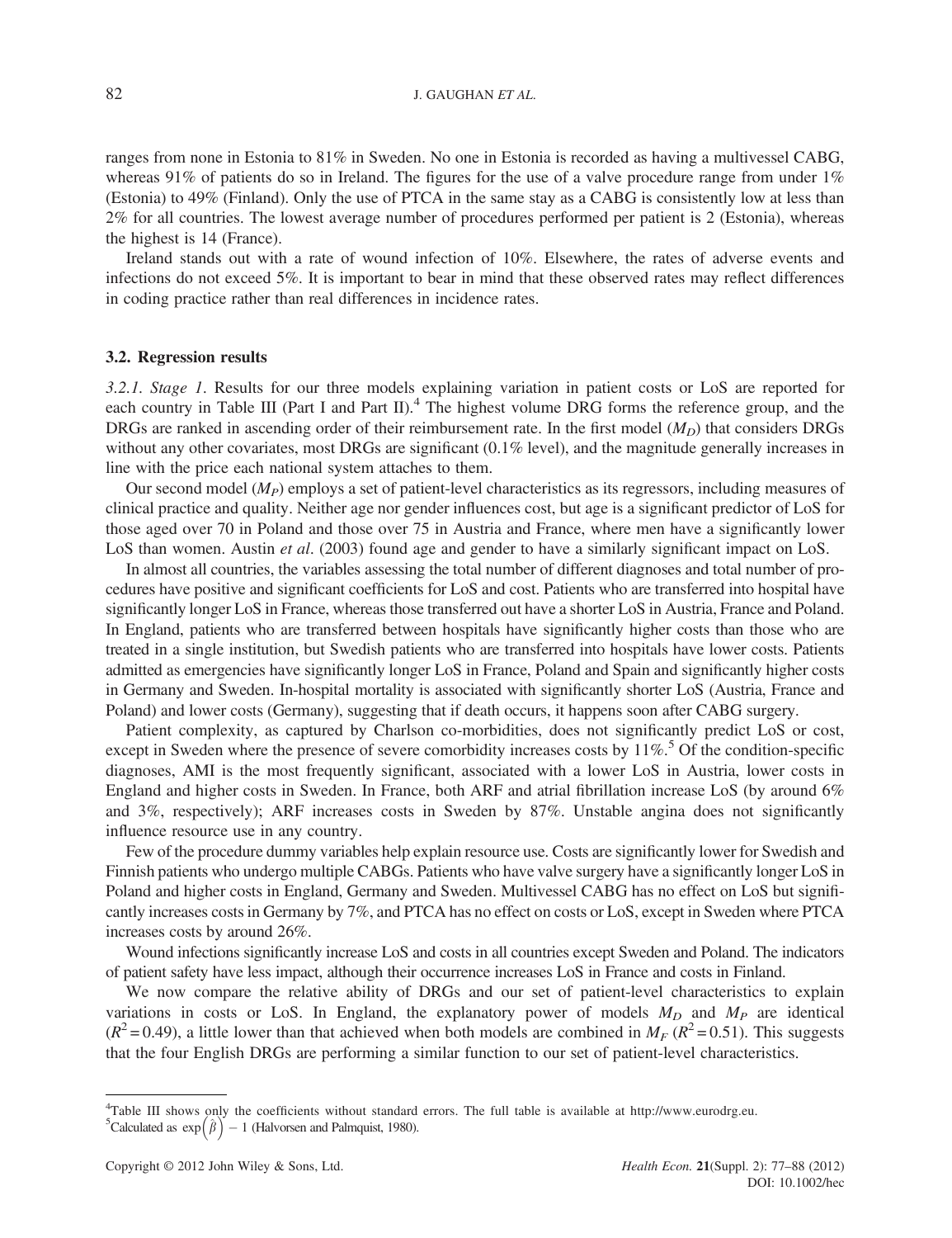82 J. GAUGHAN ET AL.

ranges from none in Estonia to 81% in Sweden. No one in Estonia is recorded as having a multivessel CABG, whereas 91% of patients do so in Ireland. The figures for the use of a valve procedure range from under 1% (Estonia) to 49% (Finland). Only the use of PTCA in the same stay as a CABG is consistently low at less than 2% for all countries. The lowest average number of procedures performed per patient is 2 (Estonia), whereas the highest is 14 (France).

Ireland stands out with a rate of wound infection of 10%. Elsewhere, the rates of adverse events and infections do not exceed 5%. It is important to bear in mind that these observed rates may reflect differences in coding practice rather than real differences in incidence rates.

#### 3.2. Regression results

3.2.1. Stage 1. Results for our three models explaining variation in patient costs or LoS are reported for each country in Table III (Part I and Part II).<sup>4</sup> The highest volume DRG forms the reference group, and the DRGs are ranked in ascending order of their reimbursement rate. In the first model  $(M<sub>D</sub>)$  that considers DRGs without any other covariates, most DRGs are significant (0.1% level), and the magnitude generally increases in line with the price each national system attaches to them.

Our second model  $(M_P)$  employs a set of patient-level characteristics as its regressors, including measures of clinical practice and quality. Neither age nor gender influences cost, but age is a significant predictor of LoS for those aged over 70 in Poland and those over 75 in Austria and France, where men have a significantly lower LoS than women. Austin et al. (2003) found age and gender to have a similarly significant impact on LoS.

In almost all countries, the variables assessing the total number of different diagnoses and total number of procedures have positive and significant coefficients for LoS and cost. Patients who are transferred into hospital have significantly longer LoS in France, whereas those transferred out have a shorter LoS in Austria, France and Poland. In England, patients who are transferred between hospitals have significantly higher costs than those who are treated in a single institution, but Swedish patients who are transferred into hospitals have lower costs. Patients admitted as emergencies have significantly longer LoS in France, Poland and Spain and significantly higher costs in Germany and Sweden. In-hospital mortality is associated with significantly shorter LoS (Austria, France and Poland) and lower costs (Germany), suggesting that if death occurs, it happens soon after CABG surgery.

Patient complexity, as captured by Charlson co-morbidities, does not significantly predict LoS or cost, except in Sweden where the presence of severe comorbidity increases costs by 11%.<sup>5</sup> Of the condition-specific diagnoses, AMI is the most frequently significant, associated with a lower LoS in Austria, lower costs in England and higher costs in Sweden. In France, both ARF and atrial fibrillation increase LoS (by around 6% and 3%, respectively); ARF increases costs in Sweden by 87%. Unstable angina does not significantly influence resource use in any country.

Few of the procedure dummy variables help explain resource use. Costs are significantly lower for Swedish and Finnish patients who undergo multiple CABGs. Patients who have valve surgery have a significantly longer LoS in Poland and higher costs in England, Germany and Sweden. Multivessel CABG has no effect on LoS but significantly increases costs in Germany by 7%, and PTCA has no effect on costs or LoS, except in Sweden where PTCA increases costs by around 26%.

Wound infections significantly increase LoS and costs in all countries except Sweden and Poland. The indicators of patient safety have less impact, although their occurrence increases LoS in France and costs in Finland.

We now compare the relative ability of DRGs and our set of patient-level characteristics to explain variations in costs or LoS. In England, the explanatory power of models  $M_D$  and  $M_P$  are identical  $(R^2 = 0.49)$ , a little lower than that achieved when both models are combined in  $M_F (R^2 = 0.51)$ . This suggests that the four English DRGs are performing a similar function to our set of patient-level characteristics.

<sup>&</sup>lt;sup>4</sup>Table III shows only the coefficients without standard errors. The full table is available at<http://www.eurodrg.eu>.  ${}^{5}C$ Calculated as  $\exp \left( \hat{\beta} \right) - 1$  (Halvorsen and Palmquist, 1980).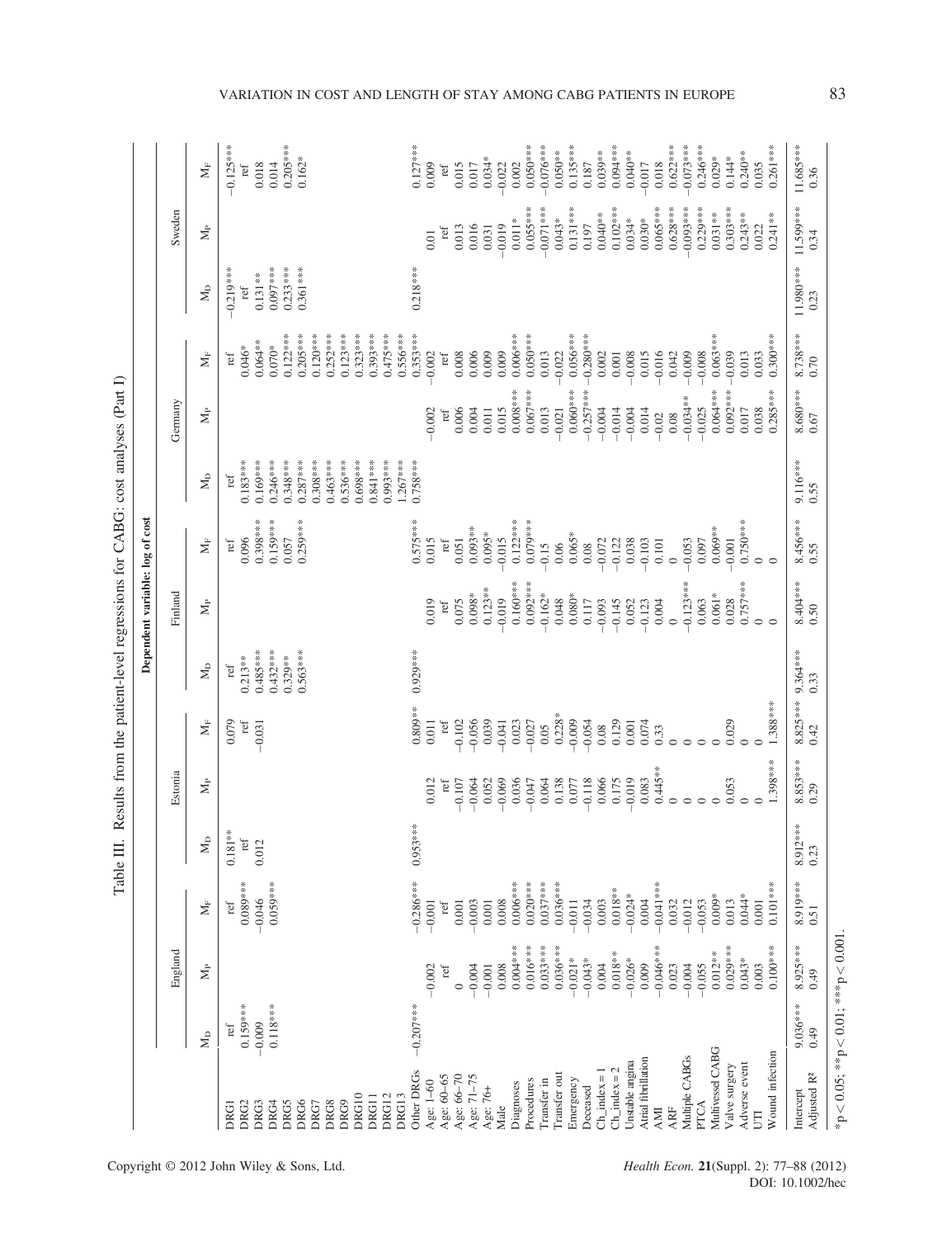|                                                  |                        |                           |                        |                   |                           |                      |                         | Dependent variable: log of cost |                      |                           |                           |                          |                   |                        |                         |
|--------------------------------------------------|------------------------|---------------------------|------------------------|-------------------|---------------------------|----------------------|-------------------------|---------------------------------|----------------------|---------------------------|---------------------------|--------------------------|-------------------|------------------------|-------------------------|
|                                                  |                        | England                   |                        |                   | Estonia                   |                      |                         | Finland                         |                      |                           | Germany                   |                          |                   | Sweden                 |                         |
|                                                  | $M_{\rm D}$            | $\mathbf{M}_{\mathrm{p}}$ | $M_F$                  | $M_{\rm D}$       | $\mathbf{M}_{\mathrm{p}}$ | $\mathbf{M}_{\rm F}$ | $\mathbf{M}_\mathrm{D}$ | $\mathbf{M}_{\mathrm{P}}$       | $\mathbf{M}_{\rm F}$ | $\mathbf{N}_{\mathrm{D}}$ | $\mathbf{M}_{\mathbf{P}}$ | $M_F$                    | $M_{\rm p}$       | $\mathbb{Z}_{p}$       | $\mathbf{M}_\text{F}$   |
| DRG1                                             | ref                    |                           | ref                    | $0.181***$        |                           | 0.079                | ref                     |                                 | ref                  | ref                       |                           | ref                      | $-0.219***$       |                        | $-0.125***$             |
| DRG <sub>2</sub><br>DRG3                         | $0.159***$<br>$-0.009$ |                           | $0.089**$<br>$-0.046$  | ref<br>0.012      |                           | $-0.031$<br>ref      | $0.485***$<br>$0.213**$ |                                 | $0.398***$<br>0.096  | $0.183***$<br>$0.169***$  |                           | $0.064**$<br>$0.046*$    | $0.131**$<br>ref  |                        | 0.018<br>ref            |
| DRG4                                             | $0.118***$             |                           | $0.059**$              |                   |                           |                      | $0.432***$              |                                 | $0.159***$           | $0.246***$                |                           | $0.070*$                 | $0.097***$        |                        | 0.014                   |
| DRG5                                             |                        |                           |                        |                   |                           |                      | $0.329**$               |                                 | 0.057                | $0.348***$                |                           | $0.122***$               | $0.233***$        |                        | $0.205***$              |
| DRG6                                             |                        |                           |                        |                   |                           |                      | $0.563***$              |                                 | $0.259***$           | $0.287***$                |                           | $0.205***$               | $0.361***$        |                        | $0.162*$                |
| DRG8<br>DRG7                                     |                        |                           |                        |                   |                           |                      |                         |                                 |                      | $0.308***$<br>$0.463***$  |                           | $0.120***$<br>$0.252***$ |                   |                        |                         |
| DRG9                                             |                        |                           |                        |                   |                           |                      |                         |                                 |                      | $0.536***$                |                           | $0.123***$               |                   |                        |                         |
| DRG10                                            |                        |                           |                        |                   |                           |                      |                         |                                 |                      | $0.698***$                |                           | $0.323***$               |                   |                        |                         |
| DRG11                                            |                        |                           |                        |                   |                           |                      |                         |                                 |                      | $0.841***$                |                           | $0.393***$               |                   |                        |                         |
| DRG13<br>DRG12                                   |                        |                           |                        |                   |                           |                      |                         |                                 |                      | $0.993***$                |                           | $0.475***$               |                   |                        |                         |
| Other DRGs                                       | $-0.207***$            |                           | $-0.286***$            | $0.953***$        |                           | $0.809**$            | $0.929***$              |                                 | $0.575***$           | $1.267***$<br>$0.758***$  |                           | $0.556***$<br>$0.353***$ | $0.218***$        |                        | $0.127***$              |
| Age: 1-60                                        |                        | $-0.002$                  | $-0.001$               |                   | 0.012                     | 0.011                |                         | 0.019                           | 0.015                |                           | $-0.002$                  | $-0.002$                 |                   | 0.01                   | 0.009                   |
| Age: 60-65                                       |                        | ref                       | ref                    |                   | ref                       | ref                  |                         | ref                             | ref                  |                           | ref                       | ref                      |                   | ref                    | ref                     |
| Age: 66-70                                       |                        | $\circ$                   | 0.001                  |                   | $-0.107$                  | $-0.102$             |                         | 0.075                           | 0.051                |                           | 0.006                     | 0.008                    |                   | 0.013                  | 0.015                   |
| Age: 71-75                                       |                        | $-0.004$                  | $-0.003$               |                   | $-0.064$                  | $-0.056$             |                         | $0.098*$                        | $0.093**$            |                           | 0.004                     | 0.006                    |                   | 0.016                  | 0.017                   |
| Age: 76+                                         |                        | $-0.001$                  | 0.001                  |                   | 0.052                     | 0.039                |                         | $0.123**$                       | $0.095*$             |                           | 0.011                     | 0.009                    |                   | 0.031                  | $0.034**$               |
| Male                                             |                        | 0.008                     | 0.008                  |                   | $-0.069$                  | $-0.041$             |                         | $-0.019$                        | $-0.015$             |                           | 0.015                     | 0.009                    |                   | $-0.019$               | $-0.022$                |
| Diagnoses                                        |                        | $0.004***$                | $0.006***$             |                   | 0.036                     | 0.023                |                         | $0.160***$                      | $0.122***$           |                           | $0.008***$                | $0.006***$               |                   | $0.011*$               | $0.002\,$               |
| Procedures                                       |                        | $0.016***$                | $0.020***$             |                   | $-0.047$                  | $-0.027$             |                         | $0.092***$                      | $0.079***$           |                           | $0.067***$                | $0.050***$               |                   | $0.055***$             | $0.050***$              |
| Transfer in                                      |                        | $0.033***$                | $0.037***$             |                   | 0.064                     | 0.05                 |                         | $-0.162*$                       | $-0.15$              |                           | 0.013                     | 0.013                    |                   | $-0.071***$            | $-0.076***$             |
| Transfer out<br>Emergency                        |                        | $0.036***$<br>$-0.021*$   | $0.036***$<br>$-0.011$ |                   | 0.138<br>0.077            | $0.228*$<br>$-0.009$ |                         | $0.080*$<br>0.048               | $0.065*$<br>0.06     |                           | $0.060***$<br>$-0.021$    | $0.056***$<br>$-0.022$   |                   | $0.131***$<br>$0.043*$ | $0.135***$<br>$0.050**$ |
| Deceased                                         |                        | $-0.043*$                 | $-0.034$               |                   | $-0.118$                  | $-0.054$             |                         | 0.117                           | $0.08$               |                           | $-0.257***$               | $-0.280***$              |                   | 0.197                  | 0.187                   |
| $Ch\_index = 1$                                  |                        | 0.004                     | 0.003                  |                   | 0.066                     | 0.08                 |                         | $-0.093$                        | $-0.072$             |                           | $-0.004$                  | 0.002                    |                   | $0.040**$              | $0.039**$               |
| $Ch\_index = 2$                                  |                        | $0.018***$                | $0.018***$             |                   | 0.175                     | 0.129                |                         | $-0.145$                        | $-0.122$             |                           | $-0.014$                  | 0.001                    |                   | $0.102***$             | $0.094***$              |
| Unstable angina                                  |                        | $-0.026*$                 | $-0.024*$              |                   | $-0.019$                  | 0.001                |                         | 0.052                           | 0.038                |                           | $-0.004$                  | $-0.008$                 |                   | $0.034*$               | $0.040**$               |
| Atrial fibrillation                              |                        | 0.009                     | 0.004                  |                   | 0.083                     | 0.074                |                         | $-0.123$                        | $-0.103$             |                           | 0.014                     | 0.015                    |                   | $0.030*$               | $-0.017$                |
| <b>AMI</b>                                       |                        | $-0.046***$               | $-0.041***$            |                   | $0.445**$                 | 0.33                 |                         | 0.004                           | 0.101                |                           | $-0.02$                   | $-0.016$                 |                   | $0.065***$             | 0.018                   |
| ARF                                              |                        | 0.023                     | 0.032                  |                   | $\circ$                   | $\circ$              |                         | $\circ$                         | $\circ$              |                           | $0.08\,$                  | 0.042                    |                   | $0.628***$             | $0.622***$              |
| Multiple CABGs                                   |                        | $-0.004$                  | $-0.012$               |                   | $\circ$                   | $\circ$              |                         | $-0.123***$                     | $-0.053$             |                           | $-0.034***$               | $-0.009$                 |                   | $-0.093***$            | $-0.073***$             |
| PTCA                                             |                        | $-0.055$                  | $-0.053$               |                   | $\circ$                   | $\circ$              |                         | 0.063                           | 0.097                |                           | $-0.025$                  | $-0.008$                 |                   | $0.229***$             | $0.246***$              |
| Multivessel CABG                                 |                        | $0.012**$                 | $0.009*$               |                   | $\circ$                   |                      |                         | $0.061*$                        | $0.069**$            |                           | $0.064***$                | $0.063***$               |                   | $0.031**$              | $0.029*$                |
| Valve surgery                                    |                        | $0.029***$                | 0.013                  |                   | 0.053                     | 0.029                |                         | 0.028                           | $-0.001$             |                           | $0.092***$                | $-0.039$                 |                   | $0.303***$             | $0.144*$                |
| Adverse event                                    |                        | $0.043*$                  | $0.044*$               |                   | $\circ$                   |                      |                         | $0.757***$                      | $0.750***$           |                           | 0.017                     | 0.013                    |                   | $0.243**$              | $0.240**$               |
| Wound infection<br>ĮΞ                            |                        | $0.100***$<br>0.003       | $0.101***$<br>0.001    |                   | $1.398***$                | $1.388***$           |                         |                                 | $\circ$<br>$\circ$   |                           | $0.285***$<br>0.038       | $0.300***$<br>0.033      |                   | $0.241***$<br>0.022    | $0.261***$<br>0.035     |
|                                                  |                        |                           |                        |                   |                           |                      |                         |                                 |                      |                           |                           |                          |                   |                        |                         |
| Adjusted R <sup>2</sup><br>Intercept             | $9.036***$<br>0.49     | 8.925 ***<br>0.49         | 8.919***<br>0.51       | 8.912 ***<br>0.23 | 8.853***<br>0.29          | $8.825***$<br>0.42   | $9.364***$<br>0.33      | $8.404***$<br>0.50              | $8.456***$<br>0.55   | 9.116***<br>0.55          | $8.680***$<br>0.67        | $8.738***$<br>0.70       | 11.980***<br>0.23 | 11.599***<br>0.34      | 11.685***<br>0.36       |
| * $p < 0.05$ ; ** $p < 0.01$ ; *** $p < 0.001$ . |                        |                           |                        |                   |                           |                      |                         |                                 |                      |                           |                           |                          |                   |                        |                         |

Table III. Results from the patient-level regressions for CABG: cost analyses (Part I) ¥ analys sions for CABG: cost patient-level re Results from the  $\equiv$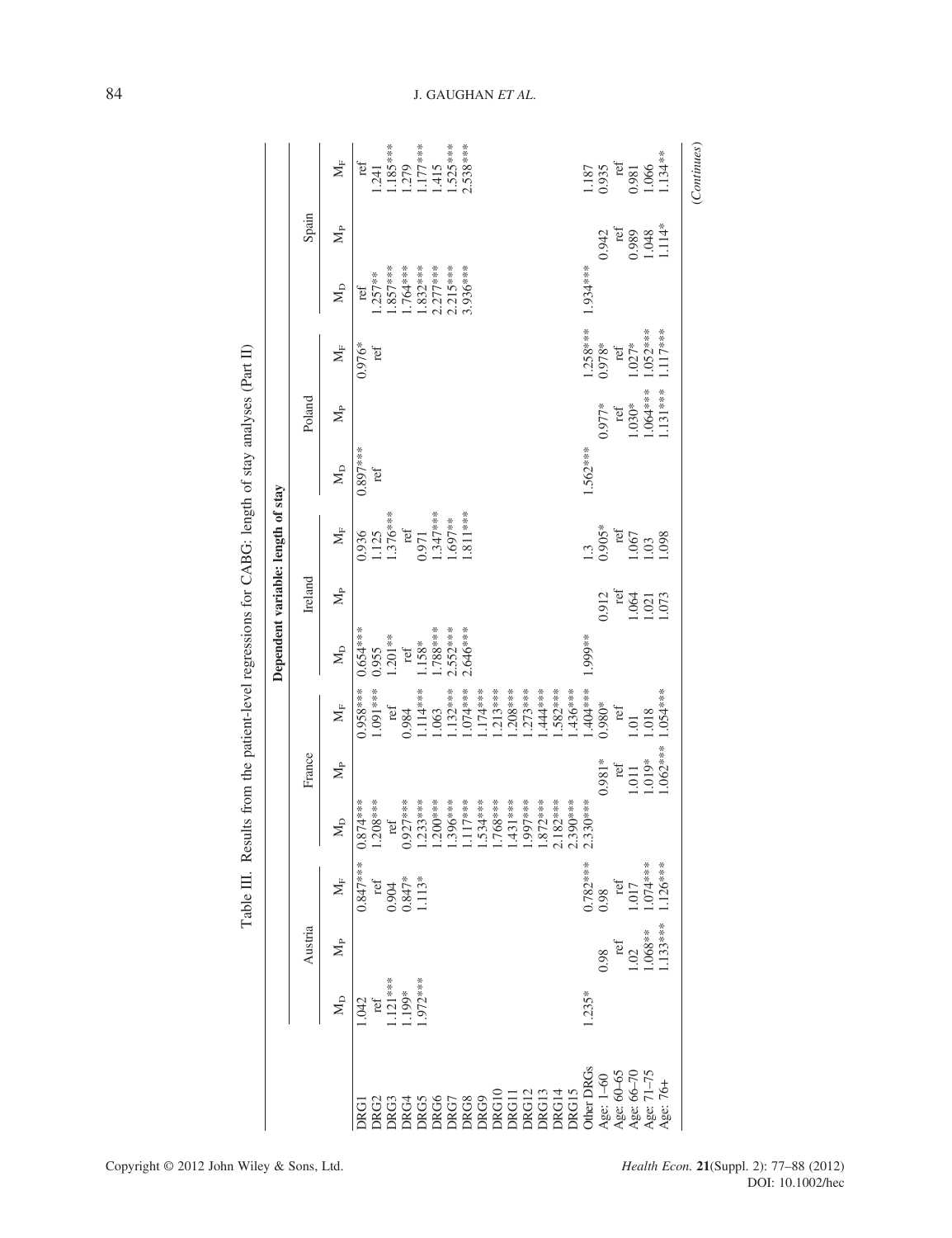|                                        |                                            |                                                                    |             |                           |                           |             |                           | Dependent variable: length of stay |             |                           |            |                        |                           |                                                      |
|----------------------------------------|--------------------------------------------|--------------------------------------------------------------------|-------------|---------------------------|---------------------------|-------------|---------------------------|------------------------------------|-------------|---------------------------|------------|------------------------|---------------------------|------------------------------------------------------|
|                                        | Austria                                    |                                                                    |             | France                    |                           |             | Ireland                   |                                    |             | Poland                    |            |                        | Spain                     |                                                      |
| $M_{\rm D}$                            | $\mathbf{M}_\mathrm{P}$                    | $\mathbf{M}_{\rm F}$                                               | $M_{\rm D}$ | $\mathbb{N}_{\mathbb{P}}$ | $\mathbf{M}_{\mathrm{F}}$ | $M_{\rm D}$ | $\mathbf{M}_{\texttt{P}}$ | $M_F$                              | $M_{\rm D}$ | $\mathbb{N}_{\mathbb{P}}$ | $M_F$      | $M_{\rm D}$            | $\mathbb{N}_{\mathbb{P}}$ | $\mathbf{M}_{\mathrm{F}}$                            |
| 1.042                                  |                                            | $0.847***$                                                         | $0.874***$  |                           | $0.958***$                | $0.654***$  |                           |                                    | $0.897***$  |                           | $0.976*$   | ref                    |                           |                                                      |
|                                        |                                            |                                                                    | $.208***$   |                           | $1.091***$                | 0.955       |                           |                                    | ref         |                           | ref        | $.257**$               |                           | $m_{241}$                                            |
| ref<br>1.121***<br>1.199*<br>1.972**** |                                            | ref<br>0.904<br>0.847*<br>1.113*                                   | ref         |                           | ref                       | $1.201**$   |                           | $0.936$<br>1.125<br>1.376***       |             |                           |            |                        |                           |                                                      |
|                                        |                                            |                                                                    | $0.927***$  |                           | 0.984                     | ref         |                           | ref                                |             |                           |            | $1.857***$<br>1.764*** |                           |                                                      |
|                                        |                                            |                                                                    | $.233***$   |                           | $.114***$                 | $1.158*$    |                           | 0.971                              |             |                           |            | $.832***$              |                           | $1.185***$<br>1.279<br>1.177***<br>1.415<br>1.525*** |
|                                        |                                            |                                                                    | $.200***$   |                           | 1.063                     | $38***$     |                           | $.347***$                          |             |                           |            | $2.277***$             |                           |                                                      |
|                                        |                                            |                                                                    | $396***$    |                           | $.132***$                 | $2.552***$  |                           | $1.697**$                          |             |                           |            | $2.215***$             |                           |                                                      |
|                                        |                                            |                                                                    | $.117***$   |                           |                           | 2.646***    |                           | $.811***$                          |             |                           |            | 3.936***               |                           | $2.538***$                                           |
|                                        |                                            |                                                                    | $.534***$   |                           | $1.074***$<br>$1.174***$  |             |                           |                                    |             |                           |            |                        |                           |                                                      |
|                                        |                                            |                                                                    | $.768***$   |                           |                           |             |                           |                                    |             |                           |            |                        |                           |                                                      |
|                                        |                                            |                                                                    | .431 ***    |                           | $1.213***$<br>$1.208***$  |             |                           |                                    |             |                           |            |                        |                           |                                                      |
|                                        |                                            |                                                                    | ****766     |                           | $.273***$                 |             |                           |                                    |             |                           |            |                        |                           |                                                      |
|                                        |                                            |                                                                    | $.872***$   |                           | .444***                   |             |                           |                                    |             |                           |            |                        |                           |                                                      |
|                                        |                                            |                                                                    | $2.182***$  |                           | .582****                  |             |                           |                                    |             |                           |            |                        |                           |                                                      |
|                                        |                                            |                                                                    | $2.390***$  |                           | $436***$                  |             |                           |                                    |             |                           |            |                        |                           |                                                      |
| $.235*$                                |                                            |                                                                    | $2.330***$  |                           | $404***$                  | 1.999**     |                           | $\overline{3}$                     | $1.562***$  |                           | $1.258***$ | $1.934***$             |                           | 187                                                  |
|                                        |                                            |                                                                    |             | $0.981*$                  | 1.980*                    |             | 0.912                     | $0.905*$                           |             | $0.977*$                  | $0.978*$   |                        | 0.942                     | 0.935                                                |
|                                        |                                            |                                                                    |             | $$\tt{ref}$$ 1.011        | ref                       |             | ref                       | ref                                |             | ref                       | ref        |                        | ref                       |                                                      |
|                                        |                                            |                                                                    |             |                           | $\overline{0}$ .          |             | 1.064                     |                                    |             | $1.030*$                  | $1.027*$   |                        | 0.989                     |                                                      |
|                                        | 0.98<br>ref<br>1.02<br>1.068**<br>1.133*** | $0.782***$<br>$0.98$<br>ref<br>$1.017$<br>$1.074***$<br>$1.074***$ |             | 1.019*                    | 1.018                     |             | 1.021                     | $1.067$<br>1.03                    |             | $0.064***$                | $.052***$  |                        | 1.048                     | $\begin{array}{c} \text{ref} \\ 1.066 \end{array}$   |
|                                        |                                            |                                                                    |             | $.062***$                 | $1.054***$                |             | .073                      | .098                               |             | $.131***$                 | $1.117***$ |                        | $1.114*$                  | $.134**$                                             |
|                                        |                                            |                                                                    |             |                           |                           |             |                           |                                    |             |                           |            |                        |                           | (Continues)                                          |

Table III. Results from the patient-level regressions for CABG: length of stay analyses (Part II) Table III. Results from the patient-level regressions for CABG: length of stay analyses (Part II)

### 84 J. GAUGHAN ET AL.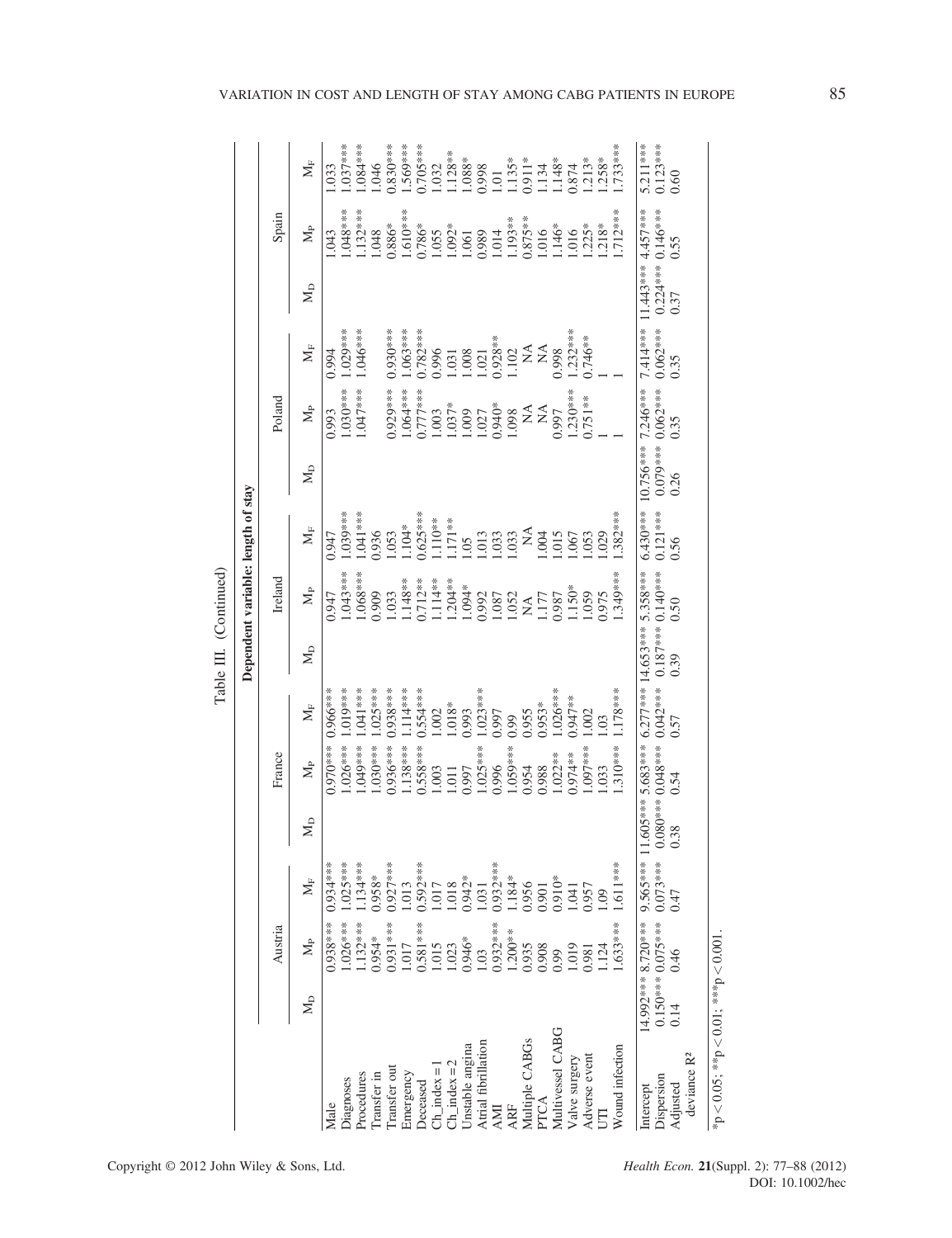|                                     |                                           | Austria          |                                                                    |             | France                    |                                                                         |             | Ireland                                                        |                          |             | Poland                                                                       |                                                                                                       |                                  | Spain                                                                                                    |                                                                                                                                                                                                                                                                      |
|-------------------------------------|-------------------------------------------|------------------|--------------------------------------------------------------------|-------------|---------------------------|-------------------------------------------------------------------------|-------------|----------------------------------------------------------------|--------------------------|-------------|------------------------------------------------------------------------------|-------------------------------------------------------------------------------------------------------|----------------------------------|----------------------------------------------------------------------------------------------------------|----------------------------------------------------------------------------------------------------------------------------------------------------------------------------------------------------------------------------------------------------------------------|
|                                     | $\mathbb{Z}_{\mathsf{D}}$                 | $\mathbb{Z}_{p}$ | $M_F$                                                              | $M_{\rm D}$ | $\mathbb{N}_{\mathbb{P}}$ | $\mathbb{N}_{\mathbb{F}}$                                               | $M_{\rm D}$ | $\mathbf{M}_\mathrm{P}$                                        | $M_{\rm F}$              | $M_{\rm D}$ | $\mathbb{N}_{\mathbb{P}}$                                                    | $\mathbf{M}_{\mathrm{F}}$                                                                             | $M_{\rm D}$                      | $\mathbf{M}_\mathrm{P}$                                                                                  | $M_{\rm F}$                                                                                                                                                                                                                                                          |
| Male                                |                                           | $0.938***$       | $0.934***$                                                         |             | $0.970***$                | $0.966***$                                                              |             | 0.947                                                          | 0.947                    |             | 0.993                                                                        | 0.994                                                                                                 |                                  | .043                                                                                                     | .033                                                                                                                                                                                                                                                                 |
| Diagnoses                           |                                           | $.026***$        | $.025***$                                                          |             | $.026***$                 | 1.019***                                                                |             | $.043***$                                                      | $.039***$                |             | $0.030***$                                                                   | $0.029***$                                                                                            |                                  | $.048***$                                                                                                | $.037***$                                                                                                                                                                                                                                                            |
| Procedures                          |                                           | $.132***$        | $.134***$                                                          |             | ***049                    | 1.041 ***                                                               |             | $.068***$                                                      | $.041***$                |             | $.047***$                                                                    | 1.046***                                                                                              |                                  | $.132***$                                                                                                | $.084***$                                                                                                                                                                                                                                                            |
| Transfer in                         |                                           | 1.954*           | 0.958*                                                             |             | $0.030***$                | $1.025***$                                                              |             | 1.909                                                          | 1.936                    |             |                                                                              |                                                                                                       |                                  | 1.048                                                                                                    | 1.046                                                                                                                                                                                                                                                                |
| Transfer out                        |                                           | 0.931 ***        | $0.927***$                                                         |             | $0.936***$                | $0.938***$                                                              |             | 1.033                                                          | 1.053                    |             | $0.929***$                                                                   | $0.930***$                                                                                            |                                  | 0.886*                                                                                                   | $0.830***$                                                                                                                                                                                                                                                           |
| Emergency                           | 1.017                                     |                  |                                                                    |             | $.138***$                 | $114***$                                                                |             | $1.148***$<br>$2.712***$                                       | $1.104*$<br>$0.625***$   |             | $1.064***$<br>0.777***                                                       | $1.063***$                                                                                            |                                  | $\frac{1.610***}{0.786*}$                                                                                | 1.569***<br>0.705***                                                                                                                                                                                                                                                 |
| Deceased                            |                                           | $0.581***$       |                                                                    |             | $0.558***$                | $.554***$                                                               |             |                                                                |                          |             |                                                                              | $0.782***$                                                                                            |                                  |                                                                                                          |                                                                                                                                                                                                                                                                      |
| $Ch\_index =$                       | 1.015                                     |                  | $\begin{array}{c} 1.013 \\ 0.592*** \\ 1.017 \\ 1.018 \end{array}$ |             | 1.003                     | $\begin{array}{c} 1.002 \\ 1.018* \\ 0.993 \end{array}$                 |             | $1.114***$<br>1.204**                                          | $1.110***$<br>$1.171***$ |             | $1.003$<br>$1.037$<br>$1.009$<br>$1.027$<br>$1.027$<br>$1.0940$ <sup>*</sup> | $\begin{array}{c} 0.996 \\ 1.031 \\ 1.008 \\ 1.021 \\ 1.021 \\ 0.928** \\ 1.102 \\ 1.102 \end{array}$ |                                  | $1.055$<br>$1.092$ *<br>$1.061$<br>$0.989$<br>$1.014$<br>$1.193$ **<br>$1.016$<br>$1.016$ *<br>$1.146$ * | $\begin{array}{c} 1.032\\ 1.128**\\ 1.088**\\ 0.998\\ 0.011\\ 0.0111\\ 0.0111\\ 0.0111\\ 0.0111\\ 0.0111\\ 0.0113\\ 0.0113\\ 1.131\\ 0.0131\\ 1.0131\\ 1.0131\\ 1.0131\\ 1.0131\\ 1.0131\\ 1.0131\\ 1.0131\\ 1.0131\\ 1.0131\\ 1.0131\\ 1.0131\\ 1.0131\\ 1.0131\\ $ |
| $Ch\_index = 2$                     | 1.023                                     |                  |                                                                    |             | 1.011                     |                                                                         |             |                                                                |                          |             |                                                                              |                                                                                                       |                                  |                                                                                                          |                                                                                                                                                                                                                                                                      |
| Jnstable angina                     | $0.946*$                                  |                  | $0.942*$                                                           |             | 0.997                     |                                                                         |             |                                                                | $\ddot{\circ}$           |             |                                                                              |                                                                                                       |                                  |                                                                                                          |                                                                                                                                                                                                                                                                      |
| Atrial fibrillation                 | 0.03                                      |                  | 1.03                                                               |             | 1.025****<br>0.996        | $1.023***$                                                              |             |                                                                |                          |             |                                                                              |                                                                                                       |                                  |                                                                                                          |                                                                                                                                                                                                                                                                      |
| <b>AMI</b>                          |                                           | 1.932***         | $0.932***$                                                         |             |                           |                                                                         |             |                                                                | $\frac{13}{103}$         |             |                                                                              |                                                                                                       |                                  |                                                                                                          |                                                                                                                                                                                                                                                                      |
| <b>ARF</b>                          |                                           | $1.200**$        |                                                                    |             | $0.059***$                | 0.99                                                                    |             |                                                                |                          |             |                                                                              |                                                                                                       |                                  |                                                                                                          |                                                                                                                                                                                                                                                                      |
| Multiple CABGs                      | 0.935                                     |                  | 1.184*<br>0.956                                                    |             | 0.954                     |                                                                         |             |                                                                | $\tilde{z}$              |             | $\breve{\mathsf{z}}$                                                         | $\lessapprox$                                                                                         |                                  |                                                                                                          |                                                                                                                                                                                                                                                                      |
| PTCA                                | 0.908                                     |                  | $0.901$<br>$0.910*$                                                |             | 0.988                     | 0.955<br>0.953*                                                         |             | $1.094*$<br>0.992<br>0.902<br>1.052<br>1.052<br>1.177<br>1.177 | .004                     |             | $\lessapprox$                                                                | $\lessapprox$                                                                                         |                                  |                                                                                                          |                                                                                                                                                                                                                                                                      |
| Multivessel CABG                    | 0.99                                      |                  |                                                                    |             | $1.022***$<br>0.974**     | $1.026***$<br>0.947**                                                   |             | $0.987$<br>$0.150*$                                            | .015                     |             | 0.997                                                                        | 0.998                                                                                                 |                                  |                                                                                                          |                                                                                                                                                                                                                                                                      |
| Valve surgery                       | 1.019                                     |                  | 1.041                                                              |             |                           |                                                                         |             |                                                                | .067                     |             | $1.230***$                                                                   | $1.232***$                                                                                            |                                  | 1.016                                                                                                    |                                                                                                                                                                                                                                                                      |
| Adverse event                       | 1.981                                     |                  | 0.957                                                              |             | $***$ 700.                | 1.002                                                                   |             | .059                                                           | .053                     |             | $0.751**$                                                                    | $0.746**$                                                                                             |                                  | $1.225*$                                                                                                 |                                                                                                                                                                                                                                                                      |
| $\overline{\Pi}$                    | .124                                      |                  | 09                                                                 |             | 1.033                     | 03                                                                      |             | 1.975                                                          | .029                     |             |                                                                              |                                                                                                       |                                  | $1.218*$                                                                                                 | $1.258*$                                                                                                                                                                                                                                                             |
| Wound infection                     |                                           | $.633***$        | $1$ ***<br>$\overline{5}$                                          |             | $.310***$                 | 1.178***                                                                |             | .349**                                                         | $.382***$                |             |                                                                              |                                                                                                       |                                  | $.712***$                                                                                                | $.733***$                                                                                                                                                                                                                                                            |
| Dispersion<br>Intercept             | $(4.992***8.720***$<br>$0.150***0.075***$ |                  | $0.073***$                                                         |             | 0.080*** 0.048***         | $9.565***$ 11.605*** 5.683*** 6.277*** 14.653*** 5.358***<br>$0.042***$ | $0.187***$  | $0.140***$                                                     | $6.430***$<br>$0.121***$ | $0.079***$  | $10.756***7.246***$<br>$0.062***$                                            | 7.414***<br>$0.062***$                                                                                | 11.443*** 4.457***<br>$0.224***$ | $0.146***$                                                                                               | 5.211 ***<br>$0.123***$                                                                                                                                                                                                                                              |
| deviance R <sup>2</sup><br>Adjusted | 0.46<br>0.14                              |                  | 0.47                                                               | 0.38        | 0.54                      | 0.57                                                                    | 0.39        | 0.50                                                           | 0.56                     | 0.26        | 0.35                                                                         | 0.35                                                                                                  | 0.37                             | 0.55                                                                                                     | 0.60                                                                                                                                                                                                                                                                 |

\*p <

 $< 0.05; **p$ 

V  $<$   $0.01$  ;  $^{***}$  p

 $< 0.001$ .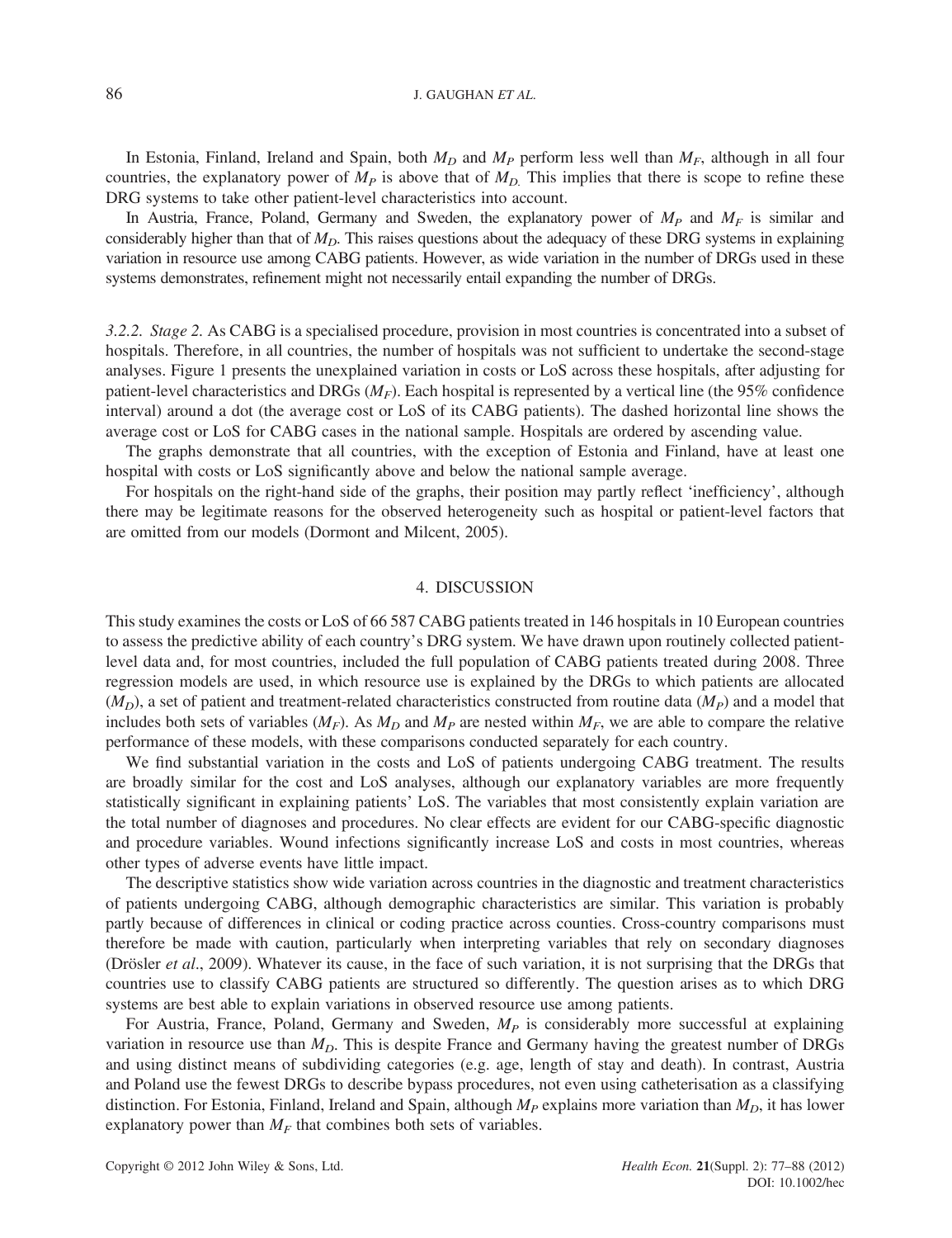#### 86 J. GAUGHAN ET AL.

In Estonia, Finland, Ireland and Spain, both  $M_D$  and  $M_P$  perform less well than  $M_F$ , although in all four countries, the explanatory power of  $M_P$  is above that of  $M_D$ . This implies that there is scope to refine these DRG systems to take other patient-level characteristics into account.

In Austria, France, Poland, Germany and Sweden, the explanatory power of  $M_P$  and  $M_F$  is similar and considerably higher than that of  $M<sub>D</sub>$ . This raises questions about the adequacy of these DRG systems in explaining variation in resource use among CABG patients. However, as wide variation in the number of DRGs used in these systems demonstrates, refinement might not necessarily entail expanding the number of DRGs.

3.2.2. Stage 2. As CABG is a specialised procedure, provision in most countries is concentrated into a subset of hospitals. Therefore, in all countries, the number of hospitals was not sufficient to undertake the second-stage analyses. Figure 1 presents the unexplained variation in costs or LoS across these hospitals, after adjusting for patient-level characteristics and DRGs  $(M_F)$ . Each hospital is represented by a vertical line (the 95% confidence interval) around a dot (the average cost or LoS of its CABG patients). The dashed horizontal line shows the average cost or LoS for CABG cases in the national sample. Hospitals are ordered by ascending value.

The graphs demonstrate that all countries, with the exception of Estonia and Finland, have at least one hospital with costs or LoS significantly above and below the national sample average.

For hospitals on the right-hand side of the graphs, their position may partly reflect 'inefficiency', although there may be legitimate reasons for the observed heterogeneity such as hospital or patient-level factors that are omitted from our models (Dormont and Milcent, 2005).

#### 4. DISCUSSION

This study examines the costs or LoS of 66 587 CABG patients treated in 146 hospitals in 10 European countries to assess the predictive ability of each country's DRG system. We have drawn upon routinely collected patientlevel data and, for most countries, included the full population of CABG patients treated during 2008. Three regression models are used, in which resource use is explained by the DRGs to which patients are allocated  $(M_D)$ , a set of patient and treatment-related characteristics constructed from routine data  $(M_P)$  and a model that includes both sets of variables ( $M_F$ ). As  $M_D$  and  $M_P$  are nested within  $M_F$ , we are able to compare the relative performance of these models, with these comparisons conducted separately for each country.

We find substantial variation in the costs and LoS of patients undergoing CABG treatment. The results are broadly similar for the cost and LoS analyses, although our explanatory variables are more frequently statistically significant in explaining patients' LoS. The variables that most consistently explain variation are the total number of diagnoses and procedures. No clear effects are evident for our CABG-specific diagnostic and procedure variables. Wound infections significantly increase LoS and costs in most countries, whereas other types of adverse events have little impact.

The descriptive statistics show wide variation across countries in the diagnostic and treatment characteristics of patients undergoing CABG, although demographic characteristics are similar. This variation is probably partly because of differences in clinical or coding practice across counties. Cross-country comparisons must therefore be made with caution, particularly when interpreting variables that rely on secondary diagnoses (Drösler *et al.*, 2009). Whatever its cause, in the face of such variation, it is not surprising that the DRGs that countries use to classify CABG patients are structured so differently. The question arises as to which DRG systems are best able to explain variations in observed resource use among patients.

For Austria, France, Poland, Germany and Sweden,  $M<sub>P</sub>$  is considerably more successful at explaining variation in resource use than  $M<sub>D</sub>$ . This is despite France and Germany having the greatest number of DRGs and using distinct means of subdividing categories (e.g. age, length of stay and death). In contrast, Austria and Poland use the fewest DRGs to describe bypass procedures, not even using catheterisation as a classifying distinction. For Estonia, Finland, Ireland and Spain, although  $M_P$  explains more variation than  $M_D$ , it has lower explanatory power than  $M_F$  that combines both sets of variables.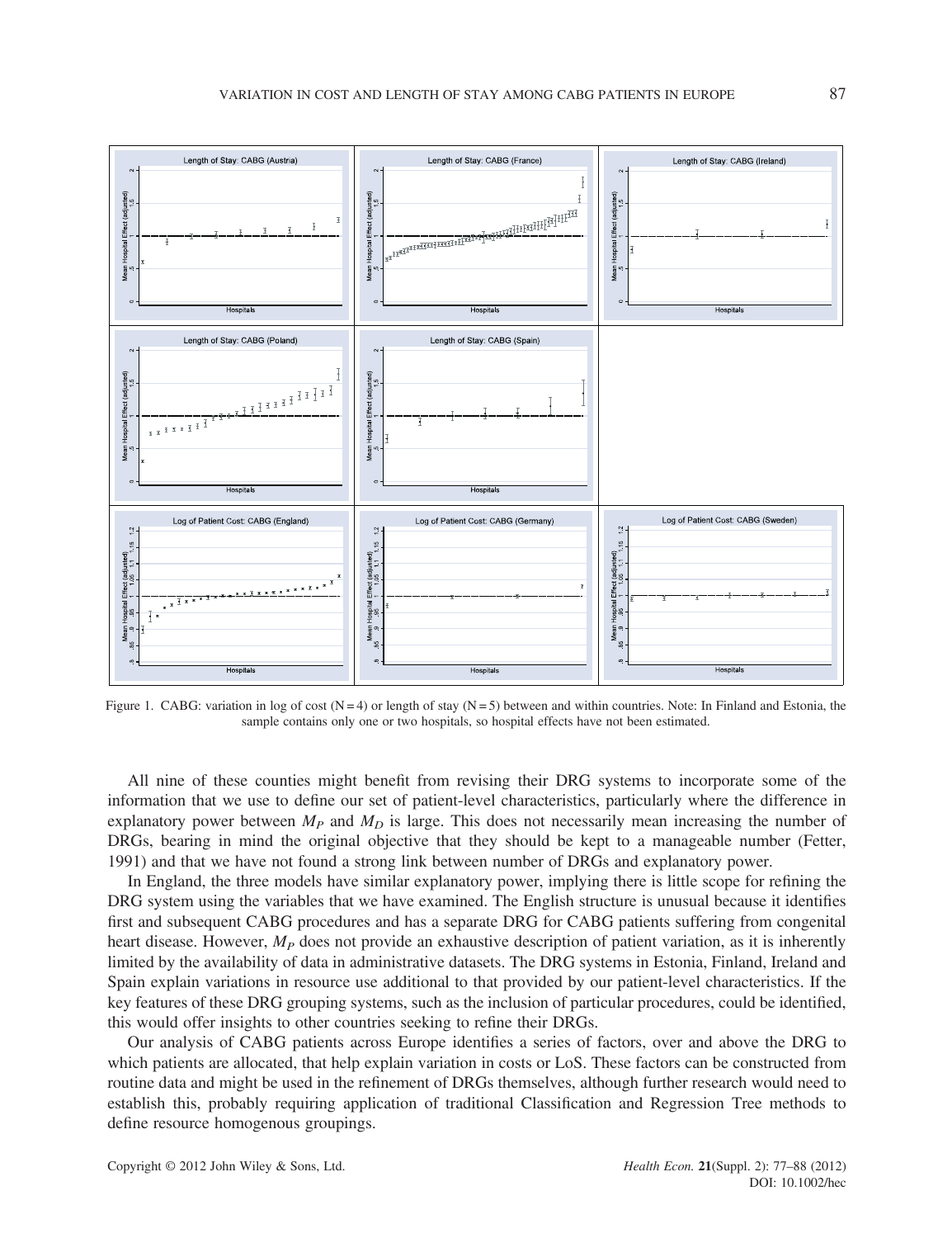

Figure 1. CABG: variation in log of cost  $(N=4)$  or length of stay  $(N=5)$  between and within countries. Note: In Finland and Estonia, the sample contains only one or two hospitals, so hospital effects have not been estimated.

All nine of these counties might benefit from revising their DRG systems to incorporate some of the information that we use to define our set of patient-level characteristics, particularly where the difference in explanatory power between  $M_p$  and  $M_p$  is large. This does not necessarily mean increasing the number of DRGs, bearing in mind the original objective that they should be kept to a manageable number (Fetter, 1991) and that we have not found a strong link between number of DRGs and explanatory power.

In England, the three models have similar explanatory power, implying there is little scope for refining the DRG system using the variables that we have examined. The English structure is unusual because it identifies first and subsequent CABG procedures and has a separate DRG for CABG patients suffering from congenital heart disease. However,  $M<sub>P</sub>$  does not provide an exhaustive description of patient variation, as it is inherently limited by the availability of data in administrative datasets. The DRG systems in Estonia, Finland, Ireland and Spain explain variations in resource use additional to that provided by our patient-level characteristics. If the key features of these DRG grouping systems, such as the inclusion of particular procedures, could be identified, this would offer insights to other countries seeking to refine their DRGs.

Our analysis of CABG patients across Europe identifies a series of factors, over and above the DRG to which patients are allocated, that help explain variation in costs or LoS. These factors can be constructed from routine data and might be used in the refinement of DRGs themselves, although further research would need to establish this, probably requiring application of traditional Classification and Regression Tree methods to define resource homogenous groupings.